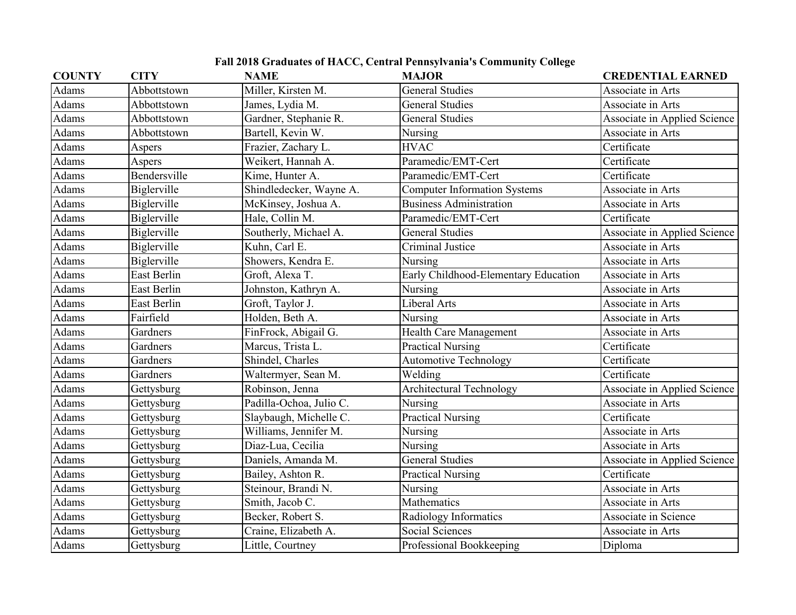## **Fall 2018 Graduates of HACC, Central Pennsylvania's Community College**

| <b>COUNTY</b> | <b>CITY</b>  | <b>NAME</b>             | <b>MAJOR</b>                         | <b>CREDENTIAL EARNED</b>     |
|---------------|--------------|-------------------------|--------------------------------------|------------------------------|
| Adams         | Abbottstown  | Miller, Kirsten M.      | <b>General Studies</b>               | Associate in Arts            |
| Adams         | Abbottstown  | James, Lydia M.         | <b>General Studies</b>               | Associate in Arts            |
| Adams         | Abbottstown  | Gardner, Stephanie R.   | <b>General Studies</b>               | Associate in Applied Science |
| Adams         | Abbottstown  | Bartell, Kevin W.       | Nursing                              | Associate in Arts            |
| Adams         | Aspers       | Frazier, Zachary L.     | <b>HVAC</b>                          | Certificate                  |
| Adams         | Aspers       | Weikert, Hannah A.      | Paramedic/EMT-Cert                   | Certificate                  |
| Adams         | Bendersville | Kime, Hunter A.         | Paramedic/EMT-Cert                   | Certificate                  |
| Adams         | Biglerville  | Shindledecker, Wayne A. | <b>Computer Information Systems</b>  | Associate in Arts            |
| Adams         | Biglerville  | McKinsey, Joshua A.     | <b>Business Administration</b>       | Associate in Arts            |
| Adams         | Biglerville  | Hale, Collin M.         | Paramedic/EMT-Cert                   | Certificate                  |
| Adams         | Biglerville  | Southerly, Michael A.   | <b>General Studies</b>               | Associate in Applied Science |
| Adams         | Biglerville  | Kuhn, Carl E.           | <b>Criminal Justice</b>              | Associate in Arts            |
| Adams         | Biglerville  | Showers, Kendra E.      | Nursing                              | Associate in Arts            |
| Adams         | East Berlin  | Groft, Alexa T.         | Early Childhood-Elementary Education | Associate in Arts            |
| Adams         | East Berlin  | Johnston, Kathryn A.    | Nursing                              | Associate in Arts            |
| Adams         | East Berlin  | Groft, Taylor J.        | Liberal Arts                         | Associate in Arts            |
| Adams         | Fairfield    | Holden, Beth A.         | Nursing                              | Associate in Arts            |
| Adams         | Gardners     | FinFrock, Abigail G.    | <b>Health Care Management</b>        | Associate in Arts            |
| Adams         | Gardners     | Marcus, Trista L.       | <b>Practical Nursing</b>             | Certificate                  |
| Adams         | Gardners     | Shindel, Charles        | <b>Automotive Technology</b>         | Certificate                  |
| Adams         | Gardners     | Waltermyer, Sean M.     | Welding                              | Certificate                  |
| Adams         | Gettysburg   | Robinson, Jenna         | <b>Architectural Technology</b>      | Associate in Applied Science |
| Adams         | Gettysburg   | Padilla-Ochoa, Julio C. | Nursing                              | Associate in Arts            |
| Adams         | Gettysburg   | Slaybaugh, Michelle C.  | <b>Practical Nursing</b>             | Certificate                  |
| Adams         | Gettysburg   | Williams, Jennifer M.   | Nursing                              | Associate in Arts            |
| Adams         | Gettysburg   | Diaz-Lua, Cecilia       | Nursing                              | Associate in Arts            |
| Adams         | Gettysburg   | Daniels, Amanda M.      | <b>General Studies</b>               | Associate in Applied Science |
| Adams         | Gettysburg   | Bailey, Ashton R.       | <b>Practical Nursing</b>             | Certificate                  |
| Adams         | Gettysburg   | Steinour, Brandi N.     | Nursing                              | Associate in Arts            |
| Adams         | Gettysburg   | Smith, Jacob C.         | Mathematics                          | Associate in Arts            |
| Adams         | Gettysburg   | Becker, Robert S.       | Radiology Informatics                | Associate in Science         |
| Adams         | Gettysburg   | Craine, Elizabeth A.    | Social Sciences                      | Associate in Arts            |
| Adams         | Gettysburg   | Little, Courtney        | Professional Bookkeeping             | Diploma                      |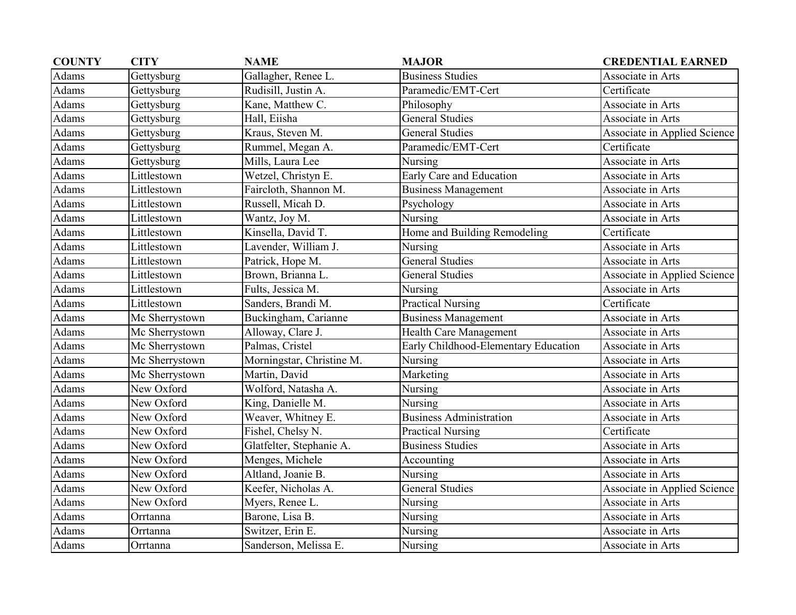| <b>COUNTY</b> | <b>CITY</b>    | <b>NAME</b>               | <b>MAJOR</b>                         | <b>CREDENTIAL EARNED</b>     |
|---------------|----------------|---------------------------|--------------------------------------|------------------------------|
| Adams         | Gettysburg     | Gallagher, Renee L.       | <b>Business Studies</b>              | Associate in Arts            |
| Adams         | Gettysburg     | Rudisill, Justin A.       | Paramedic/EMT-Cert                   | Certificate                  |
| Adams         | Gettysburg     | Kane, Matthew C.          | Philosophy                           | Associate in Arts            |
| Adams         | Gettysburg     | Hall, Eiisha              | General Studies                      | Associate in Arts            |
| Adams         | Gettysburg     | Kraus, Steven M.          | <b>General Studies</b>               | Associate in Applied Science |
| Adams         | Gettysburg     | Rummel, Megan A.          | Paramedic/EMT-Cert                   | Certificate                  |
| Adams         | Gettysburg     | Mills, Laura Lee          | Nursing                              | Associate in Arts            |
| Adams         | Littlestown    | Wetzel, Christyn E.       | Early Care and Education             | Associate in Arts            |
| Adams         | Littlestown    | Faircloth, Shannon M.     | <b>Business Management</b>           | Associate in Arts            |
| Adams         | Littlestown    | Russell, Micah D.         | Psychology                           | Associate in Arts            |
| Adams         | Littlestown    | Wantz, Joy M.             | Nursing                              | Associate in Arts            |
| Adams         | Littlestown    | Kinsella, David T.        | Home and Building Remodeling         | Certificate                  |
| Adams         | Littlestown    | Lavender, William J.      | Nursing                              | Associate in Arts            |
| Adams         | Littlestown    | Patrick, Hope M.          | <b>General Studies</b>               | Associate in Arts            |
| Adams         | Littlestown    | Brown, Brianna L.         | <b>General Studies</b>               | Associate in Applied Science |
| Adams         | Littlestown    | Fults, Jessica M.         | Nursing                              | Associate in Arts            |
| Adams         | Littlestown    | Sanders, Brandi M.        | <b>Practical Nursing</b>             | Certificate                  |
| Adams         | Mc Sherrystown | Buckingham, Carianne      | Business Management                  | Associate in Arts            |
| Adams         | Mc Sherrystown | Alloway, Clare J.         | <b>Health Care Management</b>        | Associate in Arts            |
| Adams         | Mc Sherrystown | Palmas, Cristel           | Early Childhood-Elementary Education | Associate in Arts            |
| Adams         | Mc Sherrystown | Morningstar, Christine M. | Nursing                              | Associate in Arts            |
| Adams         | Mc Sherrystown | Martin, David             | Marketing                            | Associate in Arts            |
| Adams         | New Oxford     | Wolford, Natasha A.       | Nursing                              | Associate in Arts            |
| Adams         | New Oxford     | King, Danielle M.         | Nursing                              | Associate in Arts            |
| Adams         | New Oxford     | Weaver, Whitney E.        | <b>Business Administration</b>       | Associate in Arts            |
| Adams         | New Oxford     | Fishel, Chelsy N.         | <b>Practical Nursing</b>             | Certificate                  |
| Adams         | New Oxford     | Glatfelter, Stephanie A.  | <b>Business Studies</b>              | Associate in Arts            |
| Adams         | New Oxford     | Menges, Michele           | Accounting                           | Associate in Arts            |
| Adams         | New Oxford     | Altland, Joanie B.        | Nursing                              | Associate in Arts            |
| Adams         | New Oxford     | Keefer, Nicholas A.       | <b>General Studies</b>               | Associate in Applied Science |
| Adams         | New Oxford     | Myers, Renee L.           | Nursing                              | Associate in Arts            |
| Adams         | Orrtanna       | Barone, Lisa B.           | Nursing                              | Associate in Arts            |
| Adams         | Orrtanna       | Switzer, Erin E.          | Nursing                              | Associate in Arts            |
| Adams         | Orrtanna       | Sanderson, Melissa E.     | Nursing                              | Associate in Arts            |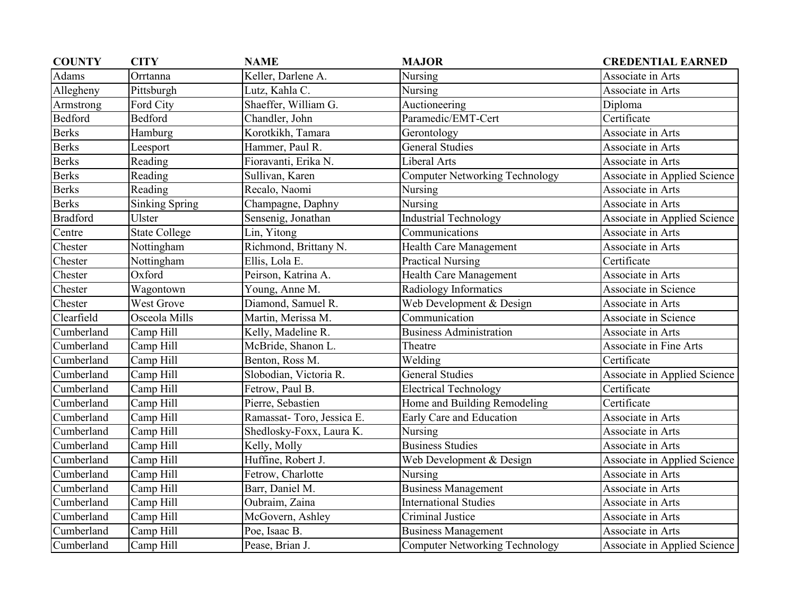| <b>COUNTY</b>   | <b>CITY</b>           | <b>NAME</b>                | <b>MAJOR</b>                          | <b>CREDENTIAL EARNED</b>     |
|-----------------|-----------------------|----------------------------|---------------------------------------|------------------------------|
| Adams           | Orrtanna              | Keller, Darlene A.         | Nursing                               | Associate in Arts            |
| Allegheny       | Pittsburgh            | Lutz, Kahla C.             | Nursing                               | Associate in Arts            |
| Armstrong       | Ford City             | Shaeffer, William G.       | Auctioneering                         | Diploma                      |
| <b>Bedford</b>  | Bedford               | Chandler, John             | Paramedic/EMT-Cert                    | Certificate                  |
| <b>Berks</b>    | Hamburg               | Korotkikh, Tamara          | Gerontology                           | Associate in Arts            |
| <b>Berks</b>    | Leesport              | Hammer, Paul R.            | <b>General Studies</b>                | Associate in Arts            |
| <b>Berks</b>    | Reading               | Fioravanti, Erika N.       | Liberal Arts                          | Associate in Arts            |
| <b>Berks</b>    | Reading               | Sullivan, Karen            | <b>Computer Networking Technology</b> | Associate in Applied Science |
| <b>Berks</b>    | Reading               | Recalo, Naomi              | Nursing                               | Associate in Arts            |
| <b>Berks</b>    | <b>Sinking Spring</b> | Champagne, Daphny          | Nursing                               | Associate in Arts            |
| <b>Bradford</b> | Ulster                | Sensenig, Jonathan         | <b>Industrial Technology</b>          | Associate in Applied Science |
| Centre          | <b>State College</b>  | Lin, Yitong                | Communications                        | Associate in Arts            |
| Chester         | Nottingham            | Richmond, Brittany N.      | <b>Health Care Management</b>         | Associate in Arts            |
| Chester         | Nottingham            | Ellis, Lola E.             | <b>Practical Nursing</b>              | Certificate                  |
| Chester         | Oxford                | Peirson, Katrina A.        | Health Care Management                | Associate in Arts            |
| Chester         | Wagontown             | Young, Anne M.             | Radiology Informatics                 | Associate in Science         |
| Chester         | West Grove            | Diamond, Samuel R.         | Web Development & Design              | Associate in Arts            |
| Clearfield      | Osceola Mills         | Martin, Merissa M.         | Communication                         | Associate in Science         |
| Cumberland      | Camp Hill             | Kelly, Madeline R.         | <b>Business Administration</b>        | Associate in Arts            |
| Cumberland      | Camp Hill             | McBride, Shanon L.         | Theatre                               | Associate in Fine Arts       |
| Cumberland      | Camp Hill             | Benton, Ross M.            | Welding                               | Certificate                  |
| Cumberland      | Camp Hill             | Slobodian, Victoria R.     | <b>General Studies</b>                | Associate in Applied Science |
| Cumberland      | Camp Hill             | Fetrow, Paul B.            | <b>Electrical Technology</b>          | Certificate                  |
| Cumberland      | Camp Hill             | Pierre, Sebastien          | Home and Building Remodeling          | Certificate                  |
| Cumberland      | Camp Hill             | Ramassat- Toro, Jessica E. | Early Care and Education              | Associate in Arts            |
| Cumberland      | Camp Hill             | Shedlosky-Foxx, Laura K.   | Nursing                               | Associate in Arts            |
| Cumberland      | Camp Hill             | Kelly, Molly               | <b>Business Studies</b>               | Associate in Arts            |
| Cumberland      | Camp Hill             | Huffine, Robert J.         | Web Development & Design              | Associate in Applied Science |
| Cumberland      | Camp Hill             | Fetrow, Charlotte          | Nursing                               | Associate in Arts            |
| Cumberland      | Camp Hill             | Barr, Daniel M.            | <b>Business Management</b>            | Associate in Arts            |
| Cumberland      | Camp Hill             | Oubraim, Zaina             | <b>International Studies</b>          | Associate in Arts            |
| Cumberland      | Camp Hill             | McGovern, Ashley           | Criminal Justice                      | Associate in Arts            |
| Cumberland      | Camp Hill             | Poe, Isaac B.              | <b>Business Management</b>            | Associate in Arts            |
| Cumberland      | Camp Hill             | Pease, Brian J.            | <b>Computer Networking Technology</b> | Associate in Applied Science |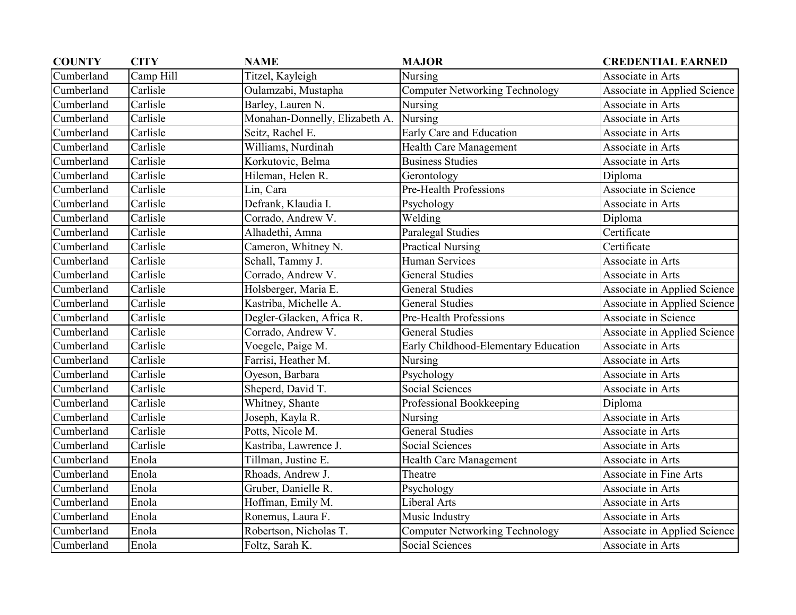| <b>COUNTY</b> | <b>CITY</b> | <b>NAME</b>                    | <b>MAJOR</b>                          | <b>CREDENTIAL EARNED</b>      |
|---------------|-------------|--------------------------------|---------------------------------------|-------------------------------|
| Cumberland    | Camp Hill   | Titzel, Kayleigh               | Nursing                               | Associate in Arts             |
| Cumberland    | Carlisle    | Oulamzabi, Mustapha            | Computer Networking Technology        | Associate in Applied Science  |
| Cumberland    | Carlisle    | Barley, Lauren N.              | Nursing                               | Associate in Arts             |
| Cumberland    | Carlisle    | Monahan-Donnelly, Elizabeth A. | Nursing                               | Associate in Arts             |
| Cumberland    | Carlisle    | Seitz, Rachel E.               | Early Care and Education              | Associate in Arts             |
| Cumberland    | Carlisle    | Williams, Nurdinah             | Health Care Management                | Associate in Arts             |
| Cumberland    | Carlisle    | Korkutovic, Belma              | <b>Business Studies</b>               | Associate in Arts             |
| Cumberland    | Carlisle    | Hileman, Helen R.              | Gerontology                           | Diploma                       |
| Cumberland    | Carlisle    | Lin, Cara                      | Pre-Health Professions                | Associate in Science          |
| Cumberland    | Carlisle    | Defrank, Klaudia I.            | Psychology                            | Associate in Arts             |
| Cumberland    | Carlisle    | Corrado, Andrew V.             | Welding                               | Diploma                       |
| Cumberland    | Carlisle    | Alhadethi, Amna                | Paralegal Studies                     | Certificate                   |
| Cumberland    | Carlisle    | Cameron, Whitney N.            | <b>Practical Nursing</b>              | Certificate                   |
| Cumberland    | Carlisle    | Schall, Tammy J.               | <b>Human Services</b>                 | Associate in Arts             |
| Cumberland    | Carlisle    | Corrado, Andrew V.             | <b>General Studies</b>                | Associate in Arts             |
| Cumberland    | Carlisle    | Holsberger, Maria E.           | General Studies                       | Associate in Applied Science  |
| Cumberland    | Carlisle    | Kastriba, Michelle A.          | <b>General Studies</b>                | Associate in Applied Science  |
| Cumberland    | Carlisle    | Degler-Glacken, Africa R.      | Pre-Health Professions                | Associate in Science          |
| Cumberland    | Carlisle    | Corrado, Andrew V.             | <b>General Studies</b>                | Associate in Applied Science  |
| Cumberland    | Carlisle    | Voegele, Paige M.              | Early Childhood-Elementary Education  | Associate in Arts             |
| Cumberland    | Carlisle    | Farrisi, Heather M.            | Nursing                               | Associate in Arts             |
| Cumberland    | Carlisle    | Oyeson, Barbara                | Psychology                            | Associate in Arts             |
| Cumberland    | Carlisle    | Sheperd, David T.              | Social Sciences                       | Associate in Arts             |
| Cumberland    | Carlisle    | Whitney, Shante                | Professional Bookkeeping              | Diploma                       |
| Cumberland    | Carlisle    | Joseph, Kayla R.               | Nursing                               | Associate in Arts             |
| Cumberland    | Carlisle    | Potts, Nicole M.               | <b>General Studies</b>                | Associate in Arts             |
| Cumberland    | Carlisle    | Kastriba, Lawrence J.          | <b>Social Sciences</b>                | Associate in Arts             |
| Cumberland    | Enola       | Tillman, Justine E.            | Health Care Management                | Associate in Arts             |
| Cumberland    | Enola       | Rhoads, Andrew J.              | Theatre                               | <b>Associate in Fine Arts</b> |
| Cumberland    | Enola       | Gruber, Danielle R.            | Psychology                            | Associate in Arts             |
| Cumberland    | Enola       | Hoffman, Emily M.              | Liberal Arts                          | Associate in Arts             |
| Cumberland    | Enola       | Ronemus, Laura F.              | Music Industry                        | Associate in Arts             |
| Cumberland    | Enola       | Robertson, Nicholas T.         | <b>Computer Networking Technology</b> | Associate in Applied Science  |
| Cumberland    | Enola       | Foltz, Sarah K.                | Social Sciences                       | Associate in Arts             |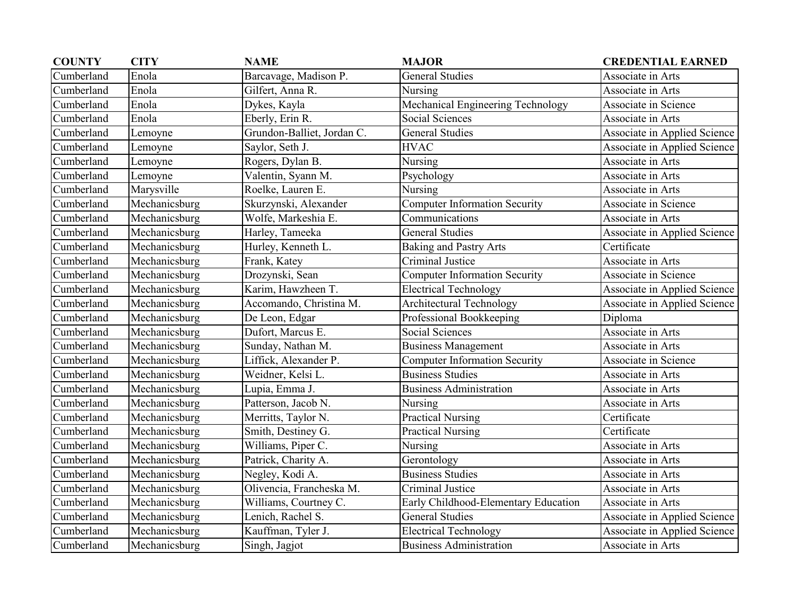| <b>COUNTY</b> | <b>CITY</b>   | <b>NAME</b>                | <b>MAJOR</b>                         | <b>CREDENTIAL EARNED</b>     |
|---------------|---------------|----------------------------|--------------------------------------|------------------------------|
| Cumberland    | Enola         | Barcavage, Madison P.      | <b>General Studies</b>               | Associate in Arts            |
| Cumberland    | Enola         | Gilfert, Anna R.           | Nursing                              | Associate in Arts            |
| Cumberland    | Enola         | Dykes, Kayla               | Mechanical Engineering Technology    | <b>Associate in Science</b>  |
| Cumberland    | Enola         | Eberly, Erin R.            | Social Sciences                      | Associate in Arts            |
| Cumberland    | Lemoyne       | Grundon-Balliet, Jordan C. | <b>General Studies</b>               | Associate in Applied Science |
| Cumberland    | Lemoyne       | Saylor, Seth J.            | <b>HVAC</b>                          | Associate in Applied Science |
| Cumberland    | Lemoyne       | Rogers, Dylan B.           | Nursing                              | Associate in Arts            |
| Cumberland    | Lemoyne       | Valentin, Syann M.         | Psychology                           | Associate in Arts            |
| Cumberland    | Marysville    | Roelke, Lauren E.          | Nursing                              | Associate in Arts            |
| Cumberland    | Mechanicsburg | Skurzynski, Alexander      | <b>Computer Information Security</b> | Associate in Science         |
| Cumberland    | Mechanicsburg | Wolfe, Markeshia E.        | Communications                       | Associate in Arts            |
| Cumberland    | Mechanicsburg | Harley, Tameeka            | <b>General Studies</b>               | Associate in Applied Science |
| Cumberland    | Mechanicsburg | Hurley, Kenneth L.         | <b>Baking and Pastry Arts</b>        | Certificate                  |
| Cumberland    | Mechanicsburg | Frank, Katey               | Criminal Justice                     | Associate in Arts            |
| Cumberland    | Mechanicsburg | Drozynski, Sean            | <b>Computer Information Security</b> | Associate in Science         |
| Cumberland    | Mechanicsburg | Karim, Hawzheen T.         | <b>Electrical Technology</b>         | Associate in Applied Science |
| Cumberland    | Mechanicsburg | Accomando, Christina M.    | <b>Architectural Technology</b>      | Associate in Applied Science |
| Cumberland    | Mechanicsburg | De Leon, Edgar             | Professional Bookkeeping             | Diploma                      |
| Cumberland    | Mechanicsburg | Dufort, Marcus E.          | Social Sciences                      | Associate in Arts            |
| Cumberland    | Mechanicsburg | Sunday, Nathan M.          | <b>Business Management</b>           | Associate in Arts            |
| Cumberland    | Mechanicsburg | Liffick, Alexander P.      | <b>Computer Information Security</b> | Associate in Science         |
| Cumberland    | Mechanicsburg | Weidner, Kelsi L.          | <b>Business Studies</b>              | Associate in Arts            |
| Cumberland    | Mechanicsburg | Lupia, Emma J.             | <b>Business Administration</b>       | Associate in Arts            |
| Cumberland    | Mechanicsburg | Patterson, Jacob N.        | Nursing                              | Associate in Arts            |
| Cumberland    | Mechanicsburg | Merritts, Taylor N.        | <b>Practical Nursing</b>             | Certificate                  |
| Cumberland    | Mechanicsburg | Smith, Destiney G.         | <b>Practical Nursing</b>             | Certificate                  |
| Cumberland    | Mechanicsburg | Williams, Piper C.         | Nursing                              | Associate in Arts            |
| Cumberland    | Mechanicsburg | Patrick, Charity A.        | Gerontology                          | Associate in Arts            |
| Cumberland    | Mechanicsburg | Negley, Kodi A.            | <b>Business Studies</b>              | Associate in Arts            |
| Cumberland    | Mechanicsburg | Olivencia, Francheska M.   | Criminal Justice                     | Associate in Arts            |
| Cumberland    | Mechanicsburg | Williams, Courtney C.      | Early Childhood-Elementary Education | Associate in Arts            |
| Cumberland    | Mechanicsburg | Lenich, Rachel S.          | <b>General Studies</b>               | Associate in Applied Science |
| Cumberland    | Mechanicsburg | Kauffman, Tyler J.         | <b>Electrical Technology</b>         | Associate in Applied Science |
| Cumberland    | Mechanicsburg | Singh, Jagjot              | <b>Business Administration</b>       | Associate in Arts            |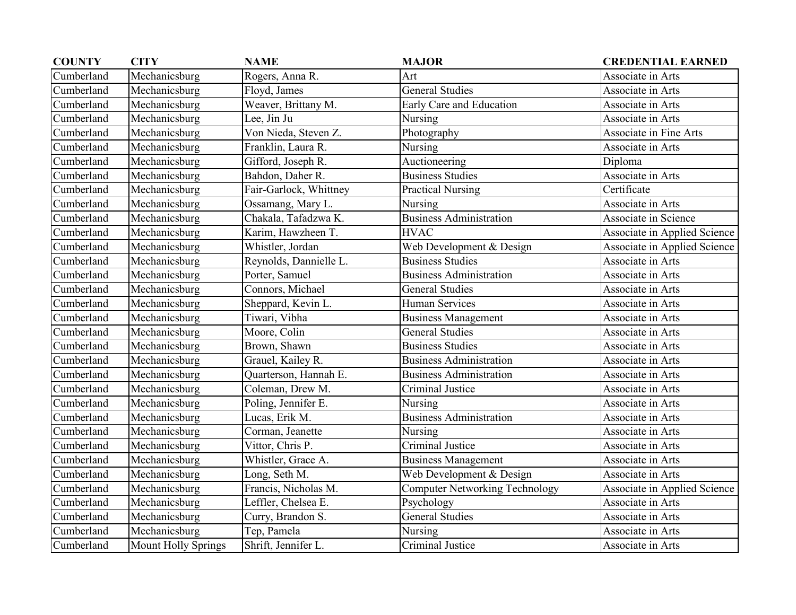| <b>COUNTY</b> | <b>CITY</b>                | <b>NAME</b>            | <b>MAJOR</b>                          | <b>CREDENTIAL EARNED</b>      |
|---------------|----------------------------|------------------------|---------------------------------------|-------------------------------|
| Cumberland    | Mechanicsburg              | Rogers, Anna R.        | Art                                   | Associate in Arts             |
| Cumberland    | Mechanicsburg              | Floyd, James           | <b>General Studies</b>                | Associate in Arts             |
| Cumberland    | Mechanicsburg              | Weaver, Brittany M.    | Early Care and Education              | Associate in Arts             |
| Cumberland    | Mechanicsburg              | Lee, Jin Ju            | Nursing                               | Associate in Arts             |
| Cumberland    | $M$ echanicsburg           | Von Nieda, Steven Z.   | Photography                           | <b>Associate in Fine Arts</b> |
| Cumberland    | Mechanicsburg              | Franklin, Laura R.     | Nursing                               | Associate in Arts             |
| Cumberland    | Mechanicsburg              | Gifford, Joseph R.     | Auctioneering                         | Diploma                       |
| Cumberland    | Mechanicsburg              | Bahdon, Daher R.       | <b>Business Studies</b>               | Associate in Arts             |
| Cumberland    | Mechanicsburg              | Fair-Garlock, Whittney | <b>Practical Nursing</b>              | Certificate                   |
| Cumberland    | Mechanicsburg              | Ossamang, Mary L.      | Nursing                               | Associate in Arts             |
| Cumberland    | Mechanicsburg              | Chakala, Tafadzwa K.   | <b>Business Administration</b>        | Associate in Science          |
| Cumberland    | Mechanicsburg              | Karim, Hawzheen T.     | <b>HVAC</b>                           | Associate in Applied Science  |
| Cumberland    | Mechanicsburg              | Whistler, Jordan       | Web Development & Design              | Associate in Applied Science  |
| Cumberland    | Mechanicsburg              | Reynolds, Dannielle L. | <b>Business Studies</b>               | Associate in Arts             |
| Cumberland    | Mechanicsburg              | Porter, Samuel         | <b>Business Administration</b>        | Associate in Arts             |
| Cumberland    | Mechanicsburg              | Connors, Michael       | <b>General Studies</b>                | Associate in Arts             |
| Cumberland    | Mechanicsburg              | Sheppard, Kevin L.     | <b>Human Services</b>                 | Associate in Arts             |
| Cumberland    | Mechanicsburg              | Tiwari, Vibha          | <b>Business Management</b>            | Associate in Arts             |
| Cumberland    | Mechanicsburg              | Moore, Colin           | <b>General Studies</b>                | Associate in Arts             |
| Cumberland    | Mechanicsburg              | Brown, Shawn           | <b>Business Studies</b>               | Associate in Arts             |
| Cumberland    | Mechanicsburg              | Grauel, Kailey R.      | <b>Business Administration</b>        | Associate in Arts             |
| Cumberland    | Mechanicsburg              | Quarterson, Hannah E.  | <b>Business Administration</b>        | Associate in Arts             |
| Cumberland    | Mechanicsburg              | Coleman, Drew M.       | Criminal Justice                      | Associate in Arts             |
| Cumberland    | Mechanicsburg              | Poling, Jennifer E.    | Nursing                               | Associate in Arts             |
| Cumberland    | Mechanicsburg              | Lucas, Erik M.         | <b>Business Administration</b>        | Associate in Arts             |
| Cumberland    | Mechanicsburg              | Corman, Jeanette       | Nursing                               | Associate in Arts             |
| Cumberland    | Mechanicsburg              | Vittor, Chris P.       | Criminal Justice                      | Associate in Arts             |
| Cumberland    | Mechanicsburg              | Whistler, Grace A.     | <b>Business Management</b>            | Associate in Arts             |
| Cumberland    | Mechanicsburg              | Long, Seth M.          | Web Development & Design              | Associate in Arts             |
| Cumberland    | Mechanicsburg              | Francis, Nicholas M.   | <b>Computer Networking Technology</b> | Associate in Applied Science  |
| Cumberland    | Mechanicsburg              | Leffler, Chelsea E.    | Psychology                            | Associate in Arts             |
| Cumberland    | Mechanicsburg              | Curry, Brandon S.      | <b>General Studies</b>                | Associate in Arts             |
| Cumberland    | Mechanicsburg              | Tep, Pamela            | Nursing                               | Associate in Arts             |
| Cumberland    | <b>Mount Holly Springs</b> | Shrift, Jennifer L.    | Criminal Justice                      | Associate in Arts             |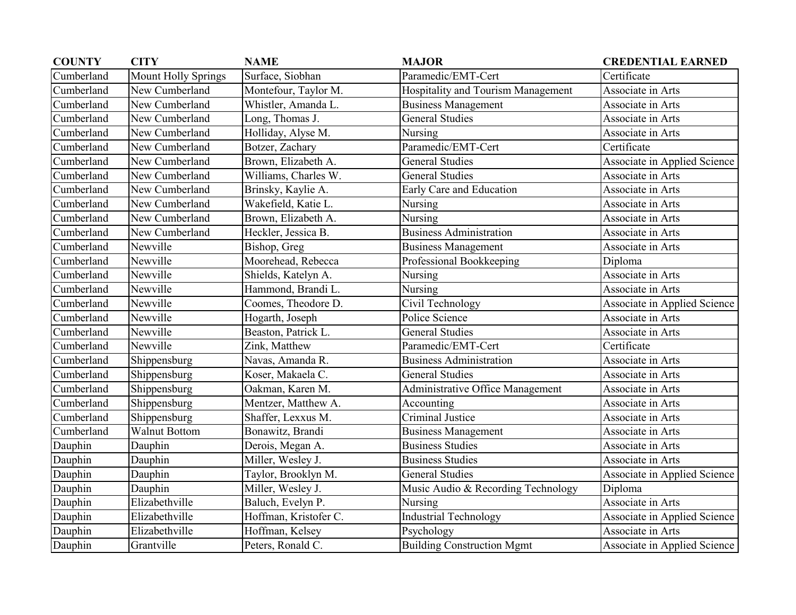| <b>COUNTY</b> | <b>CITY</b>                | <b>NAME</b>           | <b>MAJOR</b>                       | <b>CREDENTIAL EARNED</b>     |
|---------------|----------------------------|-----------------------|------------------------------------|------------------------------|
| Cumberland    | <b>Mount Holly Springs</b> | Surface, Siobhan      | Paramedic/EMT-Cert                 | Certificate                  |
| Cumberland    | New Cumberland             | Montefour, Taylor M.  | Hospitality and Tourism Management | Associate in Arts            |
| Cumberland    | New Cumberland             | Whistler, Amanda L.   | <b>Business Management</b>         | Associate in Arts            |
| Cumberland    | New Cumberland             | Long, Thomas J.       | <b>General Studies</b>             | Associate in Arts            |
| Cumberland    | New Cumberland             | Holliday, Alyse M.    | Nursing                            | Associate in Arts            |
| Cumberland    | New Cumberland             | Botzer, Zachary       | Paramedic/EMT-Cert                 | Certificate                  |
| Cumberland    | New Cumberland             | Brown, Elizabeth A.   | <b>General Studies</b>             | Associate in Applied Science |
| Cumberland    | New Cumberland             | Williams, Charles W.  | <b>General Studies</b>             | Associate in Arts            |
| Cumberland    | New Cumberland             | Brinsky, Kaylie A.    | Early Care and Education           | Associate in Arts            |
| Cumberland    | New Cumberland             | Wakefield, Katie L.   | Nursing                            | Associate in Arts            |
| Cumberland    | New Cumberland             | Brown, Elizabeth A.   | Nursing                            | Associate in Arts            |
| Cumberland    | New Cumberland             | Heckler, Jessica B.   | <b>Business Administration</b>     | Associate in Arts            |
| Cumberland    | Newville                   | Bishop, Greg          | <b>Business Management</b>         | Associate in Arts            |
| Cumberland    | Newville                   | Moorehead, Rebecca    | Professional Bookkeeping           | Diploma                      |
| Cumberland    | Newville                   | Shields, Katelyn A.   | Nursing                            | Associate in Arts            |
| Cumberland    | Newville                   | Hammond, Brandi L.    | Nursing                            | Associate in Arts            |
| Cumberland    | Newville                   | Coomes, Theodore D.   | Civil Technology                   | Associate in Applied Science |
| Cumberland    | Newville                   | Hogarth, Joseph       | Police Science                     | Associate in Arts            |
| Cumberland    | Newville                   | Beaston, Patrick L.   | <b>General Studies</b>             | Associate in Arts            |
| Cumberland    | Newville                   | Zink, Matthew         | Paramedic/EMT-Cert                 | Certificate                  |
| Cumberland    | Shippensburg               | Navas, Amanda R.      | <b>Business Administration</b>     | Associate in Arts            |
| Cumberland    | Shippensburg               | Koser, Makaela C.     | <b>General Studies</b>             | Associate in Arts            |
| Cumberland    | Shippensburg               | Oakman, Karen M.      | Administrative Office Management   | Associate in Arts            |
| Cumberland    | Shippensburg               | Mentzer, Matthew A.   | Accounting                         | Associate in Arts            |
| Cumberland    | Shippensburg               | Shaffer, Lexxus M.    | <b>Criminal Justice</b>            | Associate in Arts            |
| Cumberland    | <b>Walnut Bottom</b>       | Bonawitz, Brandi      | <b>Business Management</b>         | Associate in Arts            |
| Dauphin       | Dauphin                    | Derois, Megan A.      | <b>Business Studies</b>            | Associate in Arts            |
| Dauphin       | Dauphin                    | Miller, Wesley J.     | <b>Business Studies</b>            | Associate in Arts            |
| Dauphin       | Dauphin                    | Taylor, Brooklyn M.   | <b>General Studies</b>             | Associate in Applied Science |
| Dauphin       | Dauphin                    | Miller, Wesley J.     | Music Audio & Recording Technology | Diploma                      |
| Dauphin       | Elizabethville             | Baluch, Evelyn P.     | Nursing                            | Associate in Arts            |
| Dauphin       | Elizabethville             | Hoffman, Kristofer C. | <b>Industrial Technology</b>       | Associate in Applied Science |
| Dauphin       | Elizabethville             | Hoffman, Kelsey       | Psychology                         | Associate in Arts            |
| Dauphin       | Grantville                 | Peters, Ronald C.     | <b>Building Construction Mgmt</b>  | Associate in Applied Science |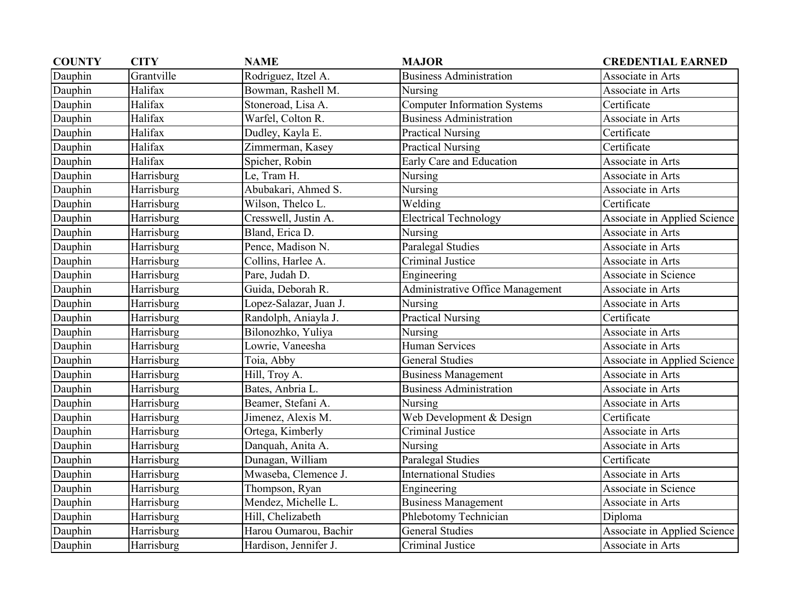| <b>COUNTY</b> | <b>CITY</b> | <b>NAME</b>            | <b>MAJOR</b>                        | <b>CREDENTIAL EARNED</b>     |
|---------------|-------------|------------------------|-------------------------------------|------------------------------|
| Dauphin       | Grantville  | Rodriguez, Itzel A.    | <b>Business Administration</b>      | Associate in Arts            |
| Dauphin       | Halifax     | Bowman, Rashell M.     | Nursing                             | Associate in Arts            |
| Dauphin       | Halifax     | Stoneroad, Lisa A.     | <b>Computer Information Systems</b> | Certificate                  |
| Dauphin       | Halifax     | Warfel, Colton R.      | <b>Business Administration</b>      | Associate in Arts            |
| Dauphin       | Halifax     | Dudley, Kayla E.       | <b>Practical Nursing</b>            | Certificate                  |
| Dauphin       | Halifax     | Zimmerman, Kasey       | <b>Practical Nursing</b>            | Certificate                  |
| Dauphin       | Halifax     | Spicher, Robin         | Early Care and Education            | Associate in Arts            |
| Dauphin       | Harrisburg  | Le, Tram H.            | Nursing                             | Associate in Arts            |
| Dauphin       | Harrisburg  | Abubakari, Ahmed S.    | Nursing                             | Associate in Arts            |
| Dauphin       | Harrisburg  | Wilson, Thelco L.      | Welding                             | Certificate                  |
| Dauphin       | Harrisburg  | Cresswell, Justin A.   | <b>Electrical Technology</b>        | Associate in Applied Science |
| Dauphin       | Harrisburg  | Bland, Erica D.        | Nursing                             | Associate in Arts            |
| Dauphin       | Harrisburg  | Pence, Madison N.      | Paralegal Studies                   | Associate in Arts            |
| Dauphin       | Harrisburg  | Collins, Harlee A.     | Criminal Justice                    | Associate in Arts            |
| Dauphin       | Harrisburg  | Pare, Judah D.         | Engineering                         | Associate in Science         |
| Dauphin       | Harrisburg  | Guida, Deborah R.      | Administrative Office Management    | Associate in Arts            |
| Dauphin       | Harrisburg  | Lopez-Salazar, Juan J. | Nursing                             | Associate in Arts            |
| Dauphin       | Harrisburg  | Randolph, Aniayla J.   | <b>Practical Nursing</b>            | Certificate                  |
| Dauphin       | Harrisburg  | Bilonozhko, Yuliya     | Nursing                             | Associate in Arts            |
| Dauphin       | Harrisburg  | Lowrie, Vaneesha       | <b>Human Services</b>               | Associate in Arts            |
| Dauphin       | Harrisburg  | Toia, Abby             | <b>General Studies</b>              | Associate in Applied Science |
| Dauphin       | Harrisburg  | Hill, Troy A.          | <b>Business Management</b>          | Associate in Arts            |
| Dauphin       | Harrisburg  | Bates, Anbria L.       | <b>Business Administration</b>      | Associate in Arts            |
| Dauphin       | Harrisburg  | Beamer, Stefani A.     | Nursing                             | Associate in Arts            |
| Dauphin       | Harrisburg  | Jimenez, Alexis M.     | Web Development & Design            | Certificate                  |
| Dauphin       | Harrisburg  | Ortega, Kimberly       | Criminal Justice                    | Associate in Arts            |
| Dauphin       | Harrisburg  | Danquah, Anita A.      | Nursing                             | Associate in Arts            |
| Dauphin       | Harrisburg  | Dunagan, William       | Paralegal Studies                   | Certificate                  |
| Dauphin       | Harrisburg  | Mwaseba, Clemence J.   | <b>International Studies</b>        | Associate in Arts            |
| Dauphin       | Harrisburg  | Thompson, Ryan         | Engineering                         | Associate in Science         |
| Dauphin       | Harrisburg  | Mendez, Michelle L.    | <b>Business Management</b>          | Associate in Arts            |
| Dauphin       | Harrisburg  | Hill, Chelizabeth      | Phlebotomy Technician               | Diploma                      |
| Dauphin       | Harrisburg  | Harou Oumarou, Bachir  | <b>General Studies</b>              | Associate in Applied Science |
| Dauphin       | Harrisburg  | Hardison, Jennifer J.  | Criminal Justice                    | Associate in Arts            |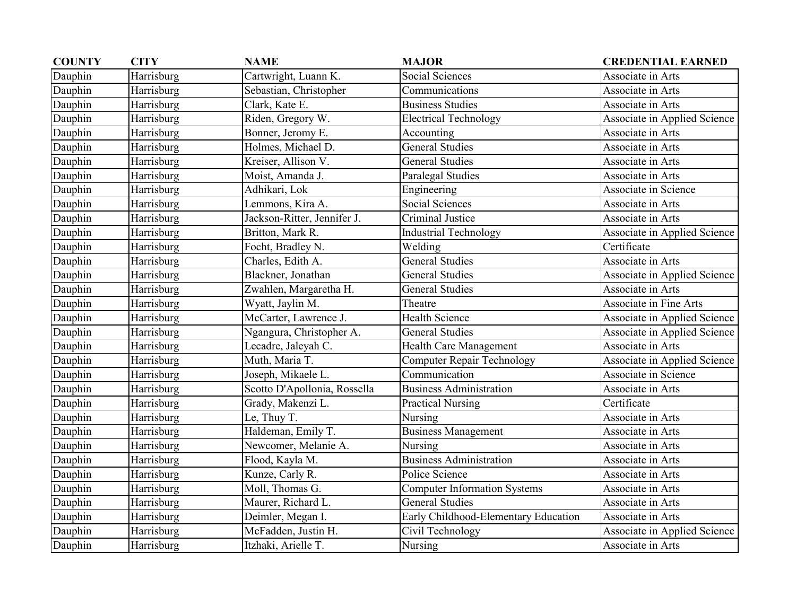| <b>COUNTY</b> | <b>CITY</b> | <b>NAME</b>                  | <b>MAJOR</b>                         | <b>CREDENTIAL EARNED</b>     |
|---------------|-------------|------------------------------|--------------------------------------|------------------------------|
| Dauphin       | Harrisburg  | Cartwright, Luann K.         | Social Sciences                      | Associate in Arts            |
| Dauphin       | Harrisburg  | Sebastian, Christopher       | Communications                       | Associate in Arts            |
| Dauphin       | Harrisburg  | Clark, Kate E.               | <b>Business Studies</b>              | Associate in Arts            |
| Dauphin       | Harrisburg  | Riden, Gregory W.            | <b>Electrical Technology</b>         | Associate in Applied Science |
| Dauphin       | Harrisburg  | Bonner, Jeromy E.            | Accounting                           | Associate in Arts            |
| Dauphin       | Harrisburg  | Holmes, Michael D.           | <b>General Studies</b>               | Associate in Arts            |
| Dauphin       | Harrisburg  | Kreiser, Allison V.          | <b>General Studies</b>               | Associate in Arts            |
| Dauphin       | Harrisburg  | Moist, Amanda J.             | Paralegal Studies                    | Associate in Arts            |
| Dauphin       | Harrisburg  | Adhikari, Lok                | Engineering                          | Associate in Science         |
| Dauphin       | Harrisburg  | Lemmons, Kira A.             | Social Sciences                      | Associate in Arts            |
| Dauphin       | Harrisburg  | Jackson-Ritter, Jennifer J.  | <b>Criminal Justice</b>              | Associate in Arts            |
| Dauphin       | Harrisburg  | Britton, Mark R.             | <b>Industrial Technology</b>         | Associate in Applied Science |
| Dauphin       | Harrisburg  | Focht, Bradley N.            | Welding                              | Certificate                  |
| Dauphin       | Harrisburg  | Charles, Edith A.            | <b>General Studies</b>               | Associate in Arts            |
| Dauphin       | Harrisburg  | Blackner, Jonathan           | <b>General Studies</b>               | Associate in Applied Science |
| Dauphin       | Harrisburg  | Zwahlen, Margaretha H.       | <b>General Studies</b>               | Associate in Arts            |
| Dauphin       | Harrisburg  | Wyatt, Jaylin M.             | Theatre                              | Associate in Fine Arts       |
| Dauphin       | Harrisburg  | McCarter, Lawrence J.        | <b>Health Science</b>                | Associate in Applied Science |
| Dauphin       | Harrisburg  | Ngangura, Christopher A.     | <b>General Studies</b>               | Associate in Applied Science |
| Dauphin       | Harrisburg  | Lecadre, Jaleyah C.          | Health Care Management               | Associate in Arts            |
| Dauphin       | Harrisburg  | Muth, Maria T.               | <b>Computer Repair Technology</b>    | Associate in Applied Science |
| Dauphin       | Harrisburg  | Joseph, Mikaele L.           | Communication                        | Associate in Science         |
| Dauphin       | Harrisburg  | Scotto D'Apollonia, Rossella | <b>Business Administration</b>       | Associate in Arts            |
| Dauphin       | Harrisburg  | Grady, Makenzi L.            | <b>Practical Nursing</b>             | Certificate                  |
| Dauphin       | Harrisburg  | Le, Thuy T.                  | Nursing                              | Associate in Arts            |
| Dauphin       | Harrisburg  | Haldeman, Emily T.           | <b>Business Management</b>           | Associate in Arts            |
| Dauphin       | Harrisburg  | Newcomer, Melanie A.         | Nursing                              | Associate in Arts            |
| Dauphin       | Harrisburg  | Flood, Kayla M.              | <b>Business Administration</b>       | Associate in Arts            |
| Dauphin       | Harrisburg  | Kunze, Carly R.              | Police Science                       | Associate in Arts            |
| Dauphin       | Harrisburg  | Moll, Thomas G.              | <b>Computer Information Systems</b>  | Associate in Arts            |
| Dauphin       | Harrisburg  | Maurer, Richard L.           | <b>General Studies</b>               | Associate in Arts            |
| Dauphin       | Harrisburg  | Deimler, Megan I.            | Early Childhood-Elementary Education | Associate in Arts            |
| Dauphin       | Harrisburg  | McFadden, Justin H.          | Civil Technology                     | Associate in Applied Science |
| Dauphin       | Harrisburg  | Itzhaki, Arielle T.          | Nursing                              | Associate in Arts            |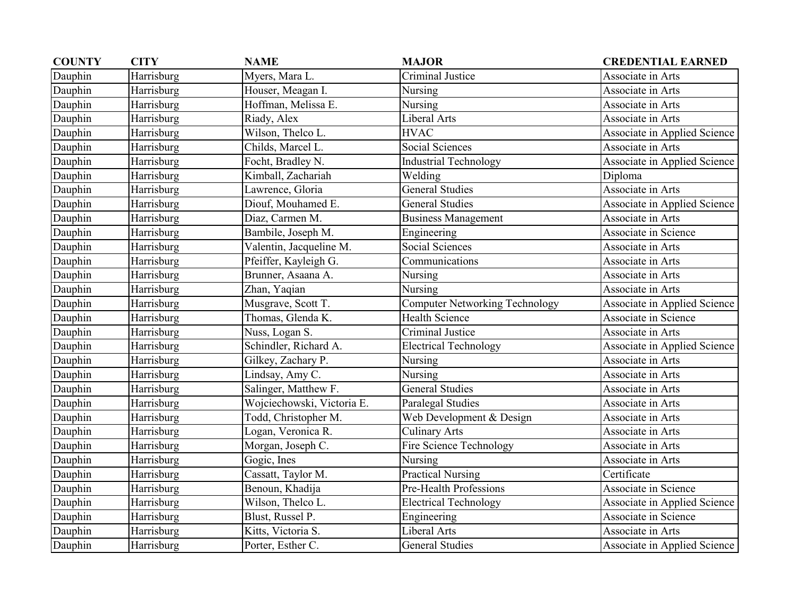| <b>COUNTY</b> | <b>CITY</b> | <b>NAME</b>                | <b>MAJOR</b>                   | <b>CREDENTIAL EARNED</b>     |
|---------------|-------------|----------------------------|--------------------------------|------------------------------|
| Dauphin       | Harrisburg  | Myers, Mara L.             | Criminal Justice               | Associate in Arts            |
| Dauphin       | Harrisburg  | Houser, Meagan I.          | Nursing                        | Associate in Arts            |
| Dauphin       | Harrisburg  | Hoffman, Melissa E.        | Nursing                        | Associate in Arts            |
| Dauphin       | Harrisburg  | Riady, Alex                | Liberal Arts                   | Associate in Arts            |
| Dauphin       | Harrisburg  | Wilson, Thelco L.          | <b>HVAC</b>                    | Associate in Applied Science |
| Dauphin       | Harrisburg  | Childs, Marcel L.          | Social Sciences                | Associate in Arts            |
| Dauphin       | Harrisburg  | Focht, Bradley N.          | <b>Industrial Technology</b>   | Associate in Applied Science |
| Dauphin       | Harrisburg  | Kimball, Zachariah         | Welding                        | Diploma                      |
| Dauphin       | Harrisburg  | Lawrence, Gloria           | <b>General Studies</b>         | Associate in Arts            |
| Dauphin       | Harrisburg  | Diouf, Mouhamed E.         | <b>General Studies</b>         | Associate in Applied Science |
| Dauphin       | Harrisburg  | Diaz, Carmen M.            | <b>Business Management</b>     | Associate in Arts            |
| Dauphin       | Harrisburg  | Bambile, Joseph M.         | Engineering                    | Associate in Science         |
| Dauphin       | Harrisburg  | Valentin, Jacqueline M.    | <b>Social Sciences</b>         | Associate in Arts            |
| Dauphin       | Harrisburg  | Pfeiffer, Kayleigh G.      | Communications                 | Associate in Arts            |
| Dauphin       | Harrisburg  | Brunner, Asaana A.         | Nursing                        | Associate in Arts            |
| Dauphin       | Harrisburg  | Zhan, Yaqian               | Nursing                        | Associate in Arts            |
| Dauphin       | Harrisburg  | Musgrave, Scott T.         | Computer Networking Technology | Associate in Applied Science |
| Dauphin       | Harrisburg  | Thomas, Glenda K.          | <b>Health Science</b>          | Associate in Science         |
| Dauphin       | Harrisburg  | Nuss, Logan S.             | Criminal Justice               | Associate in Arts            |
| Dauphin       | Harrisburg  | Schindler, Richard A.      | <b>Electrical Technology</b>   | Associate in Applied Science |
| Dauphin       | Harrisburg  | Gilkey, Zachary P.         | Nursing                        | Associate in Arts            |
| Dauphin       | Harrisburg  | Lindsay, Amy C.            | Nursing                        | Associate in Arts            |
| Dauphin       | Harrisburg  | Salinger, Matthew F.       | <b>General Studies</b>         | Associate in Arts            |
| Dauphin       | Harrisburg  | Wojciechowski, Victoria E. | Paralegal Studies              | Associate in Arts            |
| Dauphin       | Harrisburg  | Todd, Christopher M.       | Web Development & Design       | Associate in Arts            |
| Dauphin       | Harrisburg  | Logan, Veronica R.         | <b>Culinary Arts</b>           | Associate in Arts            |
| Dauphin       | Harrisburg  | Morgan, Joseph C.          | Fire Science Technology        | Associate in Arts            |
| Dauphin       | Harrisburg  | Gogic, Ines                | Nursing                        | Associate in Arts            |
| Dauphin       | Harrisburg  | Cassatt, Taylor M.         | <b>Practical Nursing</b>       | Certificate                  |
| Dauphin       | Harrisburg  | Benoun, Khadija            | Pre-Health Professions         | Associate in Science         |
| Dauphin       | Harrisburg  | Wilson, Thelco L.          | <b>Electrical Technology</b>   | Associate in Applied Science |
| Dauphin       | Harrisburg  | Blust, Russel P.           | Engineering                    | Associate in Science         |
| Dauphin       | Harrisburg  | Kitts, Victoria S.         | Liberal Arts                   | Associate in Arts            |
| Dauphin       | Harrisburg  | Porter, Esther C.          | <b>General Studies</b>         | Associate in Applied Science |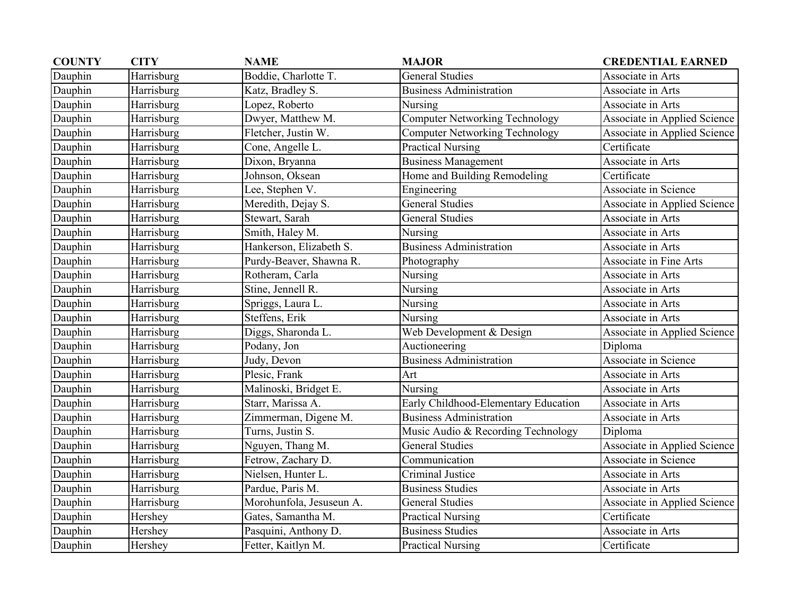| <b>COUNTY</b> | <b>CITY</b> | <b>NAME</b>              | <b>MAJOR</b>                          | <b>CREDENTIAL EARNED</b>     |
|---------------|-------------|--------------------------|---------------------------------------|------------------------------|
| Dauphin       | Harrisburg  | Boddie, Charlotte T.     | <b>General Studies</b>                | Associate in Arts            |
| Dauphin       | Harrisburg  | Katz, Bradley S.         | <b>Business Administration</b>        | Associate in Arts            |
| Dauphin       | Harrisburg  | Lopez, Roberto           | Nursing                               | Associate in Arts            |
| Dauphin       | Harrisburg  | Dwyer, Matthew M.        | Computer Networking Technology        | Associate in Applied Science |
| Dauphin       | Harrisburg  | Fletcher, Justin W.      | <b>Computer Networking Technology</b> | Associate in Applied Science |
| Dauphin       | Harrisburg  | Cone, Angelle L.         | <b>Practical Nursing</b>              | Certificate                  |
| Dauphin       | Harrisburg  | Dixon, Bryanna           | <b>Business Management</b>            | Associate in Arts            |
| Dauphin       | Harrisburg  | Johnson, Oksean          | Home and Building Remodeling          | Certificate                  |
| Dauphin       | Harrisburg  | Lee, Stephen V.          | Engineering                           | Associate in Science         |
| Dauphin       | Harrisburg  | Meredith, Dejay S.       | <b>General Studies</b>                | Associate in Applied Science |
| Dauphin       | Harrisburg  | Stewart, Sarah           | <b>General Studies</b>                | Associate in Arts            |
| Dauphin       | Harrisburg  | Smith, Haley M.          | Nursing                               | Associate in Arts            |
| Dauphin       | Harrisburg  | Hankerson, Elizabeth S.  | <b>Business Administration</b>        | Associate in Arts            |
| Dauphin       | Harrisburg  | Purdy-Beaver, Shawna R.  | Photography                           | Associate in Fine Arts       |
| Dauphin       | Harrisburg  | Rotheram, Carla          | Nursing                               | Associate in Arts            |
| Dauphin       | Harrisburg  | Stine, Jennell R.        | Nursing                               | Associate in Arts            |
| Dauphin       | Harrisburg  | Spriggs, Laura L.        | Nursing                               | Associate in Arts            |
| Dauphin       | Harrisburg  | Steffens, Erik           | Nursing                               | Associate in Arts            |
| Dauphin       | Harrisburg  | Diggs, Sharonda L.       | Web Development & Design              | Associate in Applied Science |
| Dauphin       | Harrisburg  | Podany, Jon              | Auctioneering                         | Diploma                      |
| Dauphin       | Harrisburg  | Judy, Devon              | <b>Business Administration</b>        | Associate in Science         |
| Dauphin       | Harrisburg  | Plesic, Frank            | Art                                   | Associate in Arts            |
| Dauphin       | Harrisburg  | Malinoski, Bridget E.    | Nursing                               | Associate in Arts            |
| Dauphin       | Harrisburg  | Starr, Marissa A.        | Early Childhood-Elementary Education  | Associate in Arts            |
| Dauphin       | Harrisburg  | Zimmerman, Digene M.     | <b>Business Administration</b>        | Associate in Arts            |
| Dauphin       | Harrisburg  | Turns, Justin S.         | Music Audio & Recording Technology    | Diploma                      |
| Dauphin       | Harrisburg  | Nguyen, Thang M.         | <b>General Studies</b>                | Associate in Applied Science |
| Dauphin       | Harrisburg  | Fetrow, Zachary D.       | Communication                         | Associate in Science         |
| Dauphin       | Harrisburg  | Nielsen, Hunter L.       | <b>Criminal Justice</b>               | Associate in Arts            |
| Dauphin       | Harrisburg  | Pardue, Paris M.         | <b>Business Studies</b>               | Associate in Arts            |
| Dauphin       | Harrisburg  | Morohunfola, Jesuseun A. | <b>General Studies</b>                | Associate in Applied Science |
| Dauphin       | Hershey     | Gates, Samantha M.       | <b>Practical Nursing</b>              | Certificate                  |
| Dauphin       | Hershey     | Pasquini, Anthony D.     | <b>Business Studies</b>               | Associate in Arts            |
| Dauphin       | Hershey     | Fetter, Kaitlyn M.       | <b>Practical Nursing</b>              | Certificate                  |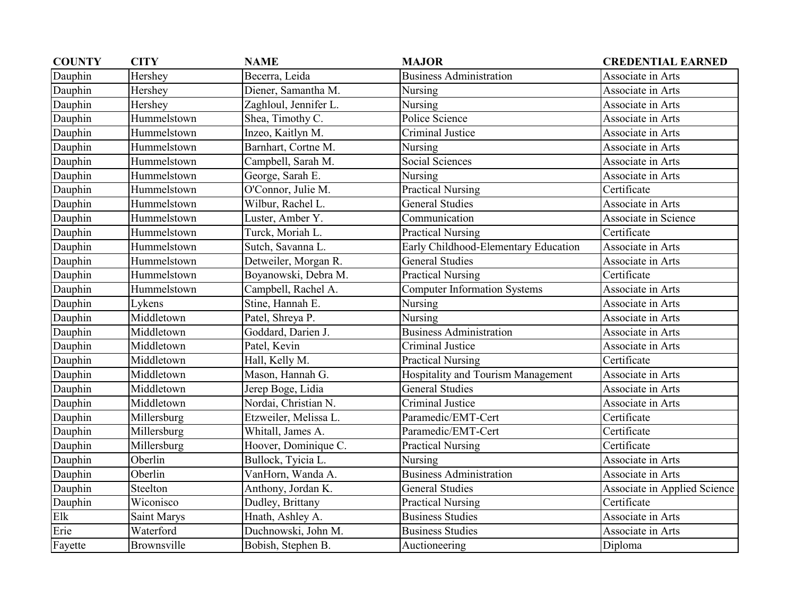| <b>COUNTY</b> | <b>CITY</b> | <b>NAME</b>           | <b>MAJOR</b>                         | <b>CREDENTIAL EARNED</b>     |
|---------------|-------------|-----------------------|--------------------------------------|------------------------------|
| Dauphin       | Hershey     | Becerra, Leida        | <b>Business Administration</b>       | Associate in Arts            |
| Dauphin       | Hershey     | Diener, Samantha M.   | Nursing                              | Associate in Arts            |
| Dauphin       | Hershey     | Zaghloul, Jennifer L. | Nursing                              | Associate in Arts            |
| Dauphin       | Hummelstown | Shea, Timothy C.      | Police Science                       | Associate in Arts            |
| Dauphin       | Hummelstown | Inzeo, Kaitlyn M.     | Criminal Justice                     | Associate in Arts            |
| Dauphin       | Hummelstown | Barnhart, Cortne M.   | Nursing                              | Associate in Arts            |
| Dauphin       | Hummelstown | Campbell, Sarah M.    | Social Sciences                      | Associate in Arts            |
| Dauphin       | Hummelstown | George, Sarah E.      | Nursing                              | Associate in Arts            |
| Dauphin       | Hummelstown | O'Connor, Julie M.    | <b>Practical Nursing</b>             | Certificate                  |
| Dauphin       | Hummelstown | Wilbur, Rachel L.     | <b>General Studies</b>               | Associate in Arts            |
| Dauphin       | Hummelstown | Luster, Amber Y.      | Communication                        | Associate in Science         |
| Dauphin       | Hummelstown | Turck, Moriah L.      | <b>Practical Nursing</b>             | Certificate                  |
| Dauphin       | Hummelstown | Sutch, Savanna L.     | Early Childhood-Elementary Education | Associate in Arts            |
| Dauphin       | Hummelstown | Detweiler, Morgan R.  | <b>General Studies</b>               | Associate in Arts            |
| Dauphin       | Hummelstown | Boyanowski, Debra M.  | <b>Practical Nursing</b>             | Certificate                  |
| Dauphin       | Hummelstown | Campbell, Rachel A.   | <b>Computer Information Systems</b>  | Associate in Arts            |
| Dauphin       | Lykens      | Stine, Hannah E.      | Nursing                              | Associate in Arts            |
| Dauphin       | Middletown  | Patel, Shreya P.      | Nursing                              | Associate in Arts            |
| Dauphin       | Middletown  | Goddard, Darien J.    | <b>Business Administration</b>       | Associate in Arts            |
| Dauphin       | Middletown  | Patel, Kevin          | Criminal Justice                     | Associate in Arts            |
| Dauphin       | Middletown  | Hall, Kelly M.        | <b>Practical Nursing</b>             | Certificate                  |
| Dauphin       | Middletown  | Mason, Hannah G.      | Hospitality and Tourism Management   | Associate in Arts            |
| Dauphin       | Middletown  | Jerep Boge, Lidia     | <b>General Studies</b>               | Associate in Arts            |
| Dauphin       | Middletown  | Nordai, Christian N.  | Criminal Justice                     | Associate in Arts            |
| Dauphin       | Millersburg | Etzweiler, Melissa L. | Paramedic/EMT-Cert                   | Certificate                  |
| Dauphin       | Millersburg | Whitall, James A.     | Paramedic/EMT-Cert                   | Certificate                  |
| Dauphin       | Millersburg | Hoover, Dominique C.  | <b>Practical Nursing</b>             | Certificate                  |
| Dauphin       | Oberlin     | Bullock, Tyicia L.    | Nursing                              | Associate in Arts            |
| Dauphin       | Oberlin     | VanHorn, Wanda A.     | <b>Business Administration</b>       | Associate in Arts            |
| Dauphin       | Steelton    | Anthony, Jordan K.    | <b>General Studies</b>               | Associate in Applied Science |
| Dauphin       | Wiconisco   | Dudley, Brittany      | <b>Practical Nursing</b>             | Certificate                  |
| Elk           | Saint Marys | Hnath, Ashley A.      | <b>Business Studies</b>              | Associate in Arts            |
| Erie          | Waterford   | Duchnowski, John M.   | <b>Business Studies</b>              | Associate in Arts            |
| Fayette       | Brownsville | Bobish, Stephen B.    | Auctioneering                        | Diploma                      |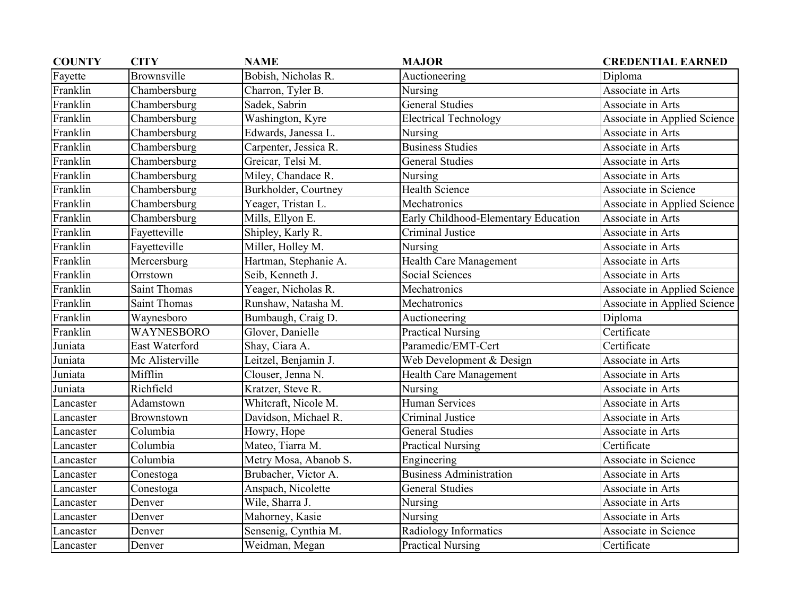| <b>COUNTY</b> | <b>CITY</b>         | <b>NAME</b>           | <b>MAJOR</b>                         | <b>CREDENTIAL EARNED</b>     |
|---------------|---------------------|-----------------------|--------------------------------------|------------------------------|
| Fayette       | Brownsville         | Bobish, Nicholas R.   | Auctioneering                        | Diploma                      |
| Franklin      | Chambersburg        | Charron, Tyler B.     | Nursing                              | Associate in Arts            |
| Franklin      | Chambersburg        | Sadek, Sabrin         | <b>General Studies</b>               | Associate in Arts            |
| Franklin      | Chambersburg        | Washington, Kyre      | <b>Electrical Technology</b>         | Associate in Applied Science |
| Franklin      | Chambersburg        | Edwards, Janessa L.   | Nursing                              | Associate in Arts            |
| Franklin      | Chambersburg        | Carpenter, Jessica R. | <b>Business Studies</b>              | Associate in Arts            |
| Franklin      | Chambersburg        | Greicar, Telsi M.     | <b>General Studies</b>               | Associate in Arts            |
| Franklin      | Chambersburg        | Miley, Chandace R.    | Nursing                              | Associate in Arts            |
| Franklin      | Chambersburg        | Burkholder, Courtney  | <b>Health Science</b>                | Associate in Science         |
| Franklin      | Chambersburg        | Yeager, Tristan L.    | Mechatronics                         | Associate in Applied Science |
| Franklin      | Chambersburg        | Mills, Ellyon E.      | Early Childhood-Elementary Education | Associate in Arts            |
| Franklin      | Fayetteville        | Shipley, Karly R.     | Criminal Justice                     | Associate in Arts            |
| Franklin      | Fayetteville        | Miller, Holley M.     | Nursing                              | Associate in Arts            |
| Franklin      | Mercersburg         | Hartman, Stephanie A. | Health Care Management               | Associate in Arts            |
| Franklin      | Orrstown            | Seib, Kenneth J.      | Social Sciences                      | Associate in Arts            |
| Franklin      | <b>Saint Thomas</b> | Yeager, Nicholas R.   | Mechatronics                         | Associate in Applied Science |
| Franklin      | <b>Saint Thomas</b> | Runshaw, Natasha M.   | Mechatronics                         | Associate in Applied Science |
| Franklin      | Waynesboro          | Bumbaugh, Craig D.    | Auctioneering                        | Diploma                      |
| Franklin      | WAYNESBORO          | Glover, Danielle      | <b>Practical Nursing</b>             | Certificate                  |
| Juniata       | East Waterford      | Shay, Ciara A.        | Paramedic/EMT-Cert                   | Certificate                  |
| Juniata       | Mc Alisterville     | Leitzel, Benjamin J.  | Web Development & Design             | Associate in Arts            |
| Juniata       | Mifflin             | Clouser, Jenna N.     | Health Care Management               | Associate in Arts            |
| Juniata       | Richfield           | Kratzer, Steve R.     | Nursing                              | Associate in Arts            |
| Lancaster     | Adamstown           | Whiteraft, Nicole M.  | <b>Human Services</b>                | Associate in Arts            |
| Lancaster     | Brownstown          | Davidson, Michael R.  | Criminal Justice                     | Associate in Arts            |
| Lancaster     | Columbia            | Howry, Hope           | <b>General Studies</b>               | Associate in Arts            |
| Lancaster     | Columbia            | Mateo, Tiarra M.      | <b>Practical Nursing</b>             | Certificate                  |
| Lancaster     | Columbia            | Metry Mosa, Abanob S. | Engineering                          | Associate in Science         |
| Lancaster     | Conestoga           | Brubacher, Victor A.  | <b>Business Administration</b>       | Associate in Arts            |
| Lancaster     | Conestoga           | Anspach, Nicolette    | <b>General Studies</b>               | Associate in Arts            |
| Lancaster     | Denver              | Wile, Sharra J.       | Nursing                              | Associate in Arts            |
| Lancaster     | Denver              | Mahorney, Kasie       | Nursing                              | Associate in Arts            |
| Lancaster     | Denver              | Sensenig, Cynthia M.  | Radiology Informatics                | Associate in Science         |
| Lancaster     | Denver              | Weidman, Megan        | <b>Practical Nursing</b>             | Certificate                  |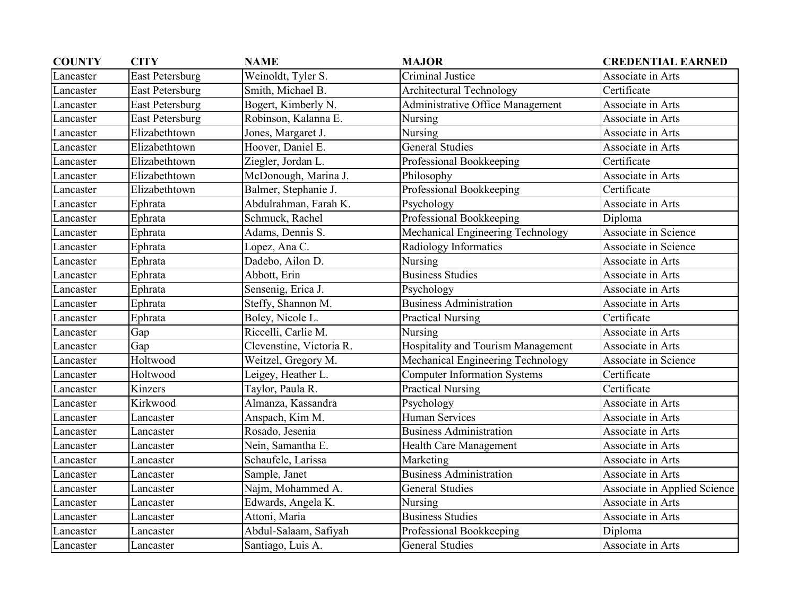| <b>COUNTY</b> | <b>CITY</b>            | <b>NAME</b>              | <b>MAJOR</b>                        | <b>CREDENTIAL EARNED</b>     |
|---------------|------------------------|--------------------------|-------------------------------------|------------------------------|
| Lancaster     | <b>East Petersburg</b> | Weinoldt, Tyler S.       | Criminal Justice                    | Associate in Arts            |
| Lancaster     | <b>East Petersburg</b> | Smith, Michael B.        | <b>Architectural Technology</b>     | Certificate                  |
| Lancaster     | <b>East Petersburg</b> | Bogert, Kimberly N.      | Administrative Office Management    | Associate in Arts            |
| Lancaster     | East Petersburg        | Robinson, Kalanna E.     | Nursing                             | Associate in Arts            |
| Lancaster     | Elizabethtown          | Jones, Margaret J.       | Nursing                             | Associate in Arts            |
| Lancaster     | Elizabethtown          | Hoover, Daniel E.        | <b>General Studies</b>              | Associate in Arts            |
| Lancaster     | Elizabethtown          | Ziegler, Jordan L.       | Professional Bookkeeping            | Certificate                  |
| Lancaster     | Elizabethtown          | McDonough, Marina J.     | Philosophy                          | Associate in Arts            |
| Lancaster     | Elizabethtown          | Balmer, Stephanie J.     | Professional Bookkeeping            | Certificate                  |
| Lancaster     | Ephrata                | Abdulrahman, Farah K.    | Psychology                          | Associate in Arts            |
| Lancaster     | Ephrata                | Schmuck, Rachel          | Professional Bookkeeping            | Diploma                      |
| Lancaster     | Ephrata                | Adams, Dennis S.         | Mechanical Engineering Technology   | Associate in Science         |
| Lancaster     | Ephrata                | Lopez, Ana C.            | Radiology Informatics               | Associate in Science         |
| Lancaster     | Ephrata                | Dadebo, Ailon D.         | Nursing                             | Associate in Arts            |
| Lancaster     | Ephrata                | Abbott, Erin             | <b>Business Studies</b>             | Associate in Arts            |
| Lancaster     | Ephrata                | Sensenig, Erica J.       | Psychology                          | Associate in Arts            |
| Lancaster     | Ephrata                | Steffy, Shannon M.       | <b>Business Administration</b>      | Associate in Arts            |
| Lancaster     | Ephrata                | Boley, Nicole L.         | <b>Practical Nursing</b>            | Certificate                  |
| Lancaster     | Gap                    | Riccelli, Carlie M.      | Nursing                             | Associate in Arts            |
| Lancaster     | Gap                    | Clevenstine, Victoria R. | Hospitality and Tourism Management  | Associate in Arts            |
| Lancaster     | Holtwood               | Weitzel, Gregory M.      | Mechanical Engineering Technology   | <b>Associate in Science</b>  |
| Lancaster     | Holtwood               | Leigey, Heather L.       | <b>Computer Information Systems</b> | Certificate                  |
| Lancaster     | Kinzers                | Taylor, Paula R.         | <b>Practical Nursing</b>            | Certificate                  |
| Lancaster     | Kirkwood               | Almanza, Kassandra       | Psychology                          | Associate in Arts            |
| Lancaster     | Lancaster              | Anspach, Kim M.          | <b>Human Services</b>               | Associate in Arts            |
| Lancaster     | Lancaster              | Rosado, Jesenia          | <b>Business Administration</b>      | Associate in Arts            |
| Lancaster     | Lancaster              | Nein, Samantha E.        | Health Care Management              | Associate in Arts            |
| Lancaster     | Lancaster              | Schaufele, Larissa       | Marketing                           | Associate in Arts            |
| Lancaster     | Lancaster              | Sample, Janet            | <b>Business Administration</b>      | Associate in Arts            |
| Lancaster     | Lancaster              | Najm, Mohammed A.        | <b>General Studies</b>              | Associate in Applied Science |
| Lancaster     | Lancaster              | Edwards, Angela K.       | Nursing                             | Associate in Arts            |
| Lancaster     | Lancaster              | Attoni, Maria            | <b>Business Studies</b>             | Associate in Arts            |
| Lancaster     | Lancaster              | Abdul-Salaam, Safiyah    | Professional Bookkeeping            | Diploma                      |
| Lancaster     | Lancaster              | Santiago, Luis A.        | <b>General Studies</b>              | Associate in Arts            |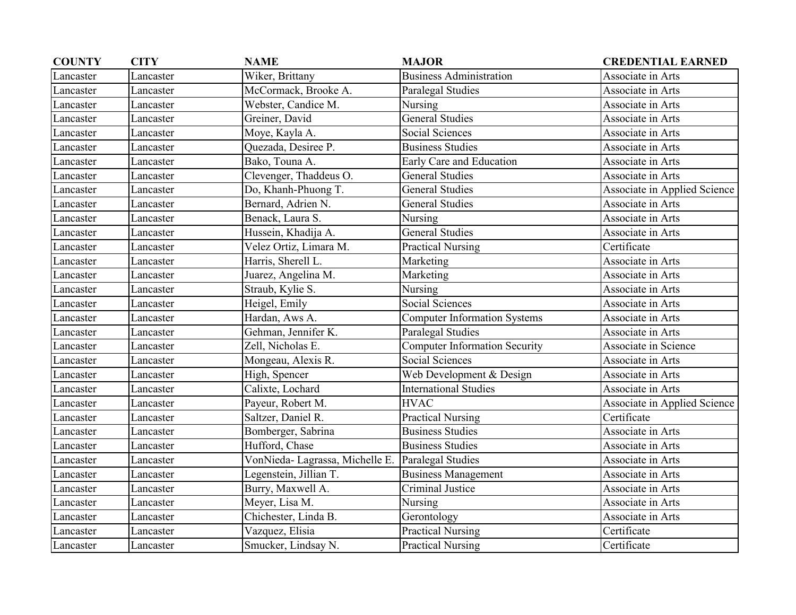| <b>COUNTY</b> | <b>CITY</b> | <b>NAME</b>                    | <b>MAJOR</b>                         | <b>CREDENTIAL EARNED</b>     |
|---------------|-------------|--------------------------------|--------------------------------------|------------------------------|
| Lancaster     | Lancaster   | Wiker, Brittany                | <b>Business Administration</b>       | Associate in Arts            |
| Lancaster     | Lancaster   | McCormack, Brooke A.           | Paralegal Studies                    | Associate in Arts            |
| Lancaster     | Lancaster   | Webster, Candice M.            | Nursing                              | Associate in Arts            |
| Lancaster     | Lancaster   | Greiner, David                 | <b>General Studies</b>               | Associate in Arts            |
| Lancaster     | Lancaster   | Moye, Kayla A.                 | Social Sciences                      | Associate in Arts            |
| Lancaster     | Lancaster   | Quezada, Desiree P.            | <b>Business Studies</b>              | Associate in Arts            |
| Lancaster     | Lancaster   | Bako, Touna A.                 | Early Care and Education             | Associate in Arts            |
| Lancaster     | Lancaster   | Clevenger, Thaddeus O.         | <b>General Studies</b>               | Associate in Arts            |
| Lancaster     | Lancaster   | Do, Khanh-Phuong T.            | <b>General Studies</b>               | Associate in Applied Science |
| Lancaster     | Lancaster   | Bernard, Adrien N.             | <b>General Studies</b>               | Associate in Arts            |
| Lancaster     | Lancaster   | Benack, Laura S.               | Nursing                              | Associate in Arts            |
| Lancaster     | Lancaster   | Hussein, Khadija A.            | <b>General Studies</b>               | Associate in Arts            |
| Lancaster     | Lancaster   | Velez Ortiz, Limara M.         | <b>Practical Nursing</b>             | Certificate                  |
| Lancaster     | Lancaster   | Harris, Sherell L.             | Marketing                            | Associate in Arts            |
| Lancaster     | Lancaster   | Juarez, Angelina M.            | Marketing                            | Associate in Arts            |
| Lancaster     | Lancaster   | Straub, Kylie S.               | Nursing                              | Associate in Arts            |
| Lancaster     | Lancaster   | Heigel, Emily                  | Social Sciences                      | Associate in Arts            |
| Lancaster     | Lancaster   | Hardan, Aws A.                 | <b>Computer Information Systems</b>  | Associate in Arts            |
| Lancaster     | Lancaster   | Gehman, Jennifer K.            | <b>Paralegal Studies</b>             | Associate in Arts            |
| Lancaster     | Lancaster   | Zell, Nicholas E.              | <b>Computer Information Security</b> | Associate in Science         |
| Lancaster     | Lancaster   | Mongeau, Alexis R.             | Social Sciences                      | Associate in Arts            |
| Lancaster     | Lancaster   | High, Spencer                  | Web Development & Design             | Associate in Arts            |
| Lancaster     | Lancaster   | Calixte, Lochard               | <b>International Studies</b>         | Associate in Arts            |
| Lancaster     | Lancaster   | Payeur, Robert M.              | <b>HVAC</b>                          | Associate in Applied Science |
| Lancaster     | Lancaster   | Saltzer, Daniel R.             | <b>Practical Nursing</b>             | Certificate                  |
| Lancaster     | Lancaster   | Bomberger, Sabrina             | <b>Business Studies</b>              | Associate in Arts            |
| Lancaster     | Lancaster   | Hufford, Chase                 | <b>Business Studies</b>              | Associate in Arts            |
| Lancaster     | Lancaster   | VonNieda-Lagrassa, Michelle E. | Paralegal Studies                    | Associate in Arts            |
| Lancaster     | Lancaster   | Legenstein, Jillian T.         | Business Management                  | Associate in Arts            |
| Lancaster     | Lancaster   | Burry, Maxwell A.              | Criminal Justice                     | Associate in Arts            |
| Lancaster     | Lancaster   | Meyer, Lisa M.                 | Nursing                              | Associate in Arts            |
| Lancaster     | Lancaster   | Chichester, Linda B.           | Gerontology                          | Associate in Arts            |
| Lancaster     | Lancaster   | Vazquez, Elisia                | <b>Practical Nursing</b>             | Certificate                  |
| Lancaster     | Lancaster   | Smucker, Lindsay N.            | <b>Practical Nursing</b>             | Certificate                  |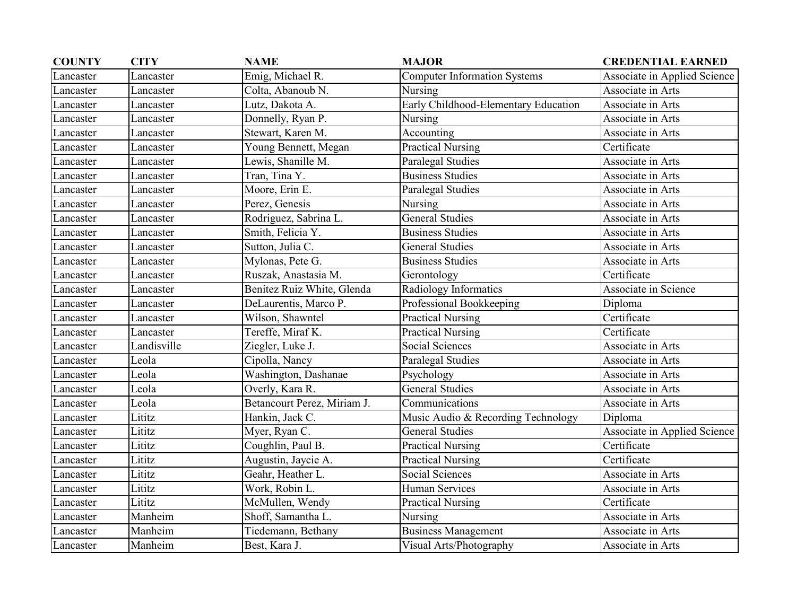| <b>COUNTY</b> | <b>CITY</b> | <b>NAME</b>                 | <b>MAJOR</b>                         | <b>CREDENTIAL EARNED</b>     |
|---------------|-------------|-----------------------------|--------------------------------------|------------------------------|
| Lancaster     | Lancaster   | Emig, Michael R.            | <b>Computer Information Systems</b>  | Associate in Applied Science |
| Lancaster     | Lancaster   | Colta, Abanoub N.           | Nursing                              | Associate in Arts            |
| Lancaster     | Lancaster   | Lutz, Dakota A.             | Early Childhood-Elementary Education | Associate in Arts            |
| Lancaster     | Lancaster   | Donnelly, Ryan P.           | Nursing                              | Associate in Arts            |
| Lancaster     | Lancaster   | Stewart, Karen M.           | Accounting                           | Associate in Arts            |
| Lancaster     | Lancaster   | Young Bennett, Megan        | <b>Practical Nursing</b>             | Certificate                  |
| Lancaster     | Lancaster   | Lewis, Shanille M.          | Paralegal Studies                    | Associate in Arts            |
| Lancaster     | Lancaster   | Tran, Tina Y.               | <b>Business Studies</b>              | Associate in Arts            |
| Lancaster     | Lancaster   | Moore, Erin E.              | Paralegal Studies                    | Associate in Arts            |
| Lancaster     | Lancaster   | Perez, Genesis              | Nursing                              | Associate in Arts            |
| Lancaster     | Lancaster   | Rodriguez, Sabrina L.       | <b>General Studies</b>               | Associate in Arts            |
| Lancaster     | Lancaster   | Smith, Felicia Y.           | <b>Business Studies</b>              | Associate in Arts            |
| Lancaster     | Lancaster   | Sutton, Julia C.            | <b>General Studies</b>               | Associate in Arts            |
| Lancaster     | Lancaster   | Mylonas, Pete G.            | <b>Business Studies</b>              | Associate in Arts            |
| Lancaster     | Lancaster   | Ruszak, Anastasia M.        | Gerontology                          | Certificate                  |
| Lancaster     | Lancaster   | Benitez Ruiz White, Glenda  | Radiology Informatics                | Associate in Science         |
| Lancaster     | Lancaster   | DeLaurentis, Marco P.       | Professional Bookkeeping             | Diploma                      |
| Lancaster     | Lancaster   | Wilson, Shawntel            | <b>Practical Nursing</b>             | Certificate                  |
| Lancaster     | Lancaster   | Tereffe, Miraf K.           | <b>Practical Nursing</b>             | Certificate                  |
| Lancaster     | Landisville | Ziegler, Luke J.            | Social Sciences                      | Associate in Arts            |
| Lancaster     | Leola       | Cipolla, Nancy              | Paralegal Studies                    | Associate in Arts            |
| Lancaster     | Leola       | Washington, Dashanae        | Psychology                           | Associate in Arts            |
| Lancaster     | Leola       | Overly, Kara R.             | <b>General Studies</b>               | Associate in Arts            |
| Lancaster     | Leola       | Betancourt Perez, Miriam J. | Communications                       | Associate in Arts            |
| Lancaster     | Lititz      | Hankin, Jack C.             | Music Audio & Recording Technology   | Diploma                      |
| Lancaster     | Lititz      | Myer, Ryan C.               | <b>General Studies</b>               | Associate in Applied Science |
| Lancaster     | Lititz      | Coughlin, Paul B.           | <b>Practical Nursing</b>             | Certificate                  |
| Lancaster     | Lititz      | Augustin, Jaycie A.         | <b>Practical Nursing</b>             | Certificate                  |
| Lancaster     | Lititz      | Geahr, Heather L.           | Social Sciences                      | Associate in Arts            |
| Lancaster     | Lititz      | Work, Robin L.              | Human Services                       | Associate in Arts            |
| Lancaster     | Lititz      | McMullen, Wendy             | <b>Practical Nursing</b>             | Certificate                  |
| Lancaster     | Manheim     | Shoff, Samantha L.          | Nursing                              | Associate in Arts            |
| Lancaster     | Manheim     | Tiedemann, Bethany          | <b>Business Management</b>           | Associate in Arts            |
| Lancaster     | Manheim     | Best, Kara J.               | Visual Arts/Photography              | Associate in Arts            |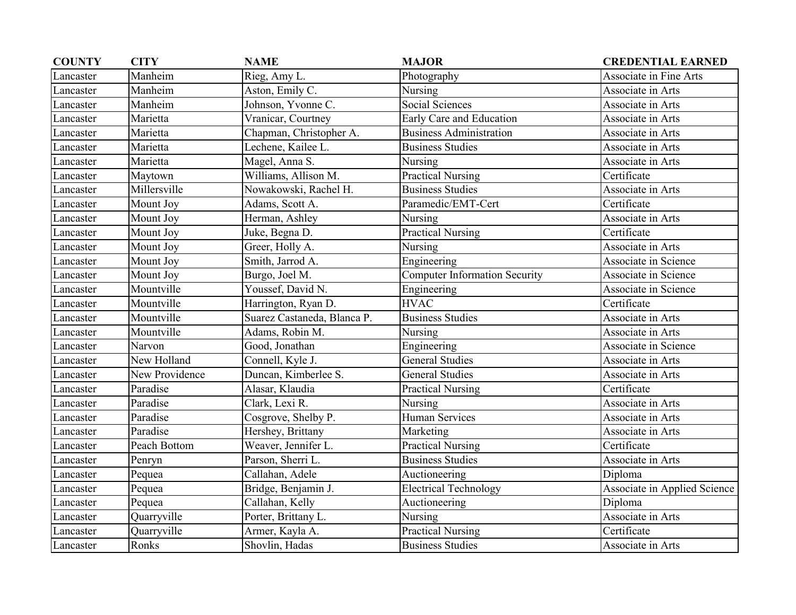| <b>COUNTY</b> | <b>CITY</b>    | <b>NAME</b>                 | <b>MAJOR</b>                         | <b>CREDENTIAL EARNED</b>      |
|---------------|----------------|-----------------------------|--------------------------------------|-------------------------------|
| Lancaster     | Manheim        | Rieg, Amy L.                | Photography                          | <b>Associate in Fine Arts</b> |
| Lancaster     | Manheim        | Aston, Emily C.             | Nursing                              | Associate in Arts             |
| Lancaster     | Manheim        | Johnson, Yvonne C.          | <b>Social Sciences</b>               | Associate in Arts             |
| Lancaster     | Marietta       | Vranicar, Courtney          | Early Care and Education             | Associate in Arts             |
| Lancaster     | Marietta       | Chapman, Christopher A.     | <b>Business Administration</b>       | Associate in Arts             |
| Lancaster     | Marietta       | Lechene, Kailee L.          | <b>Business Studies</b>              | Associate in Arts             |
| Lancaster     | Marietta       | Magel, Anna S.              | Nursing                              | Associate in Arts             |
| Lancaster     | Maytown        | Williams, Allison M.        | <b>Practical Nursing</b>             | Certificate                   |
| Lancaster     | Millersville   | Nowakowski, Rachel H.       | <b>Business Studies</b>              | Associate in Arts             |
| Lancaster     | Mount Joy      | Adams, Scott A.             | Paramedic/EMT-Cert                   | Certificate                   |
| Lancaster     | Mount Joy      | Herman, Ashley              | Nursing                              | Associate in Arts             |
| Lancaster     | Mount Joy      | Juke, Begna D.              | <b>Practical Nursing</b>             | Certificate                   |
| Lancaster     | Mount Joy      | Greer, Holly A.             | Nursing                              | Associate in Arts             |
| Lancaster     | Mount Joy      | Smith, Jarrod A.            | Engineering                          | Associate in Science          |
| Lancaster     | Mount Joy      | Burgo, Joel M.              | <b>Computer Information Security</b> | Associate in Science          |
| Lancaster     | Mountville     | Youssef, David N.           | Engineering                          | Associate in Science          |
| Lancaster     | Mountville     | Harrington, Ryan D.         | <b>HVAC</b>                          | Certificate                   |
| Lancaster     | Mountville     | Suarez Castaneda, Blanca P. | <b>Business Studies</b>              | Associate in Arts             |
| Lancaster     | Mountville     | Adams, Robin M.             | Nursing                              | Associate in Arts             |
| Lancaster     | Narvon         | Good, Jonathan              | Engineering                          | Associate in Science          |
| Lancaster     | New Holland    | Connell, Kyle J.            | <b>General Studies</b>               | Associate in Arts             |
| Lancaster     | New Providence | Duncan, Kimberlee S.        | <b>General Studies</b>               | Associate in Arts             |
| Lancaster     | Paradise       | Alasar, Klaudia             | <b>Practical Nursing</b>             | Certificate                   |
| Lancaster     | Paradise       | Clark, Lexi R.              | Nursing                              | Associate in Arts             |
| Lancaster     | Paradise       | Cosgrove, Shelby P.         | <b>Human Services</b>                | Associate in Arts             |
| Lancaster     | Paradise       | Hershey, Brittany           | Marketing                            | Associate in Arts             |
| Lancaster     | Peach Bottom   | Weaver, Jennifer L.         | <b>Practical Nursing</b>             | Certificate                   |
| Lancaster     | Penryn         | Parson, Sherri L.           | <b>Business Studies</b>              | Associate in Arts             |
| Lancaster     | Pequea         | Callahan, Adele             | Auctioneering                        | Diploma                       |
| Lancaster     | Pequea         | Bridge, Benjamin J.         | <b>Electrical Technology</b>         | Associate in Applied Science  |
| Lancaster     | Pequea         | Callahan, Kelly             | Auctioneering                        | Diploma                       |
| Lancaster     | Quarryville    | Porter, Brittany L.         | Nursing                              | Associate in Arts             |
| Lancaster     | Quarryville    | Armer, Kayla A.             | <b>Practical Nursing</b>             | Certificate                   |
| Lancaster     | Ronks          | Shovlin, Hadas              | <b>Business Studies</b>              | Associate in Arts             |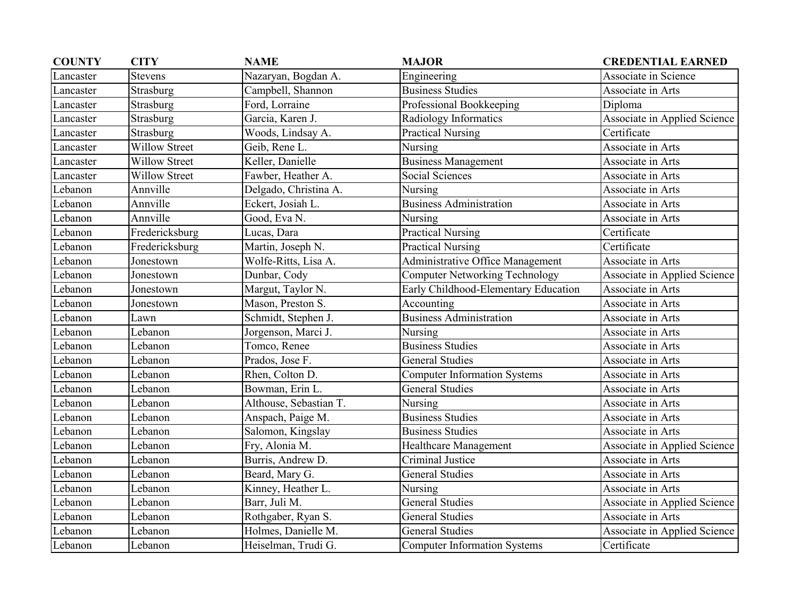| <b>COUNTY</b> | <b>CITY</b>          | <b>NAME</b>            | <b>MAJOR</b>                          | <b>CREDENTIAL EARNED</b>     |
|---------------|----------------------|------------------------|---------------------------------------|------------------------------|
| Lancaster     | <b>Stevens</b>       | Nazaryan, Bogdan A.    | Engineering                           | Associate in Science         |
| Lancaster     | Strasburg            | Campbell, Shannon      | <b>Business Studies</b>               | Associate in Arts            |
| Lancaster     | Strasburg            | Ford, Lorraine         | Professional Bookkeeping              | Diploma                      |
| Lancaster     | Strasburg            | Garcia, Karen J.       | Radiology Informatics                 | Associate in Applied Science |
| Lancaster     | Strasburg            | Woods, Lindsay A.      | <b>Practical Nursing</b>              | Certificate                  |
| Lancaster     | <b>Willow Street</b> | Geib, Rene L.          | Nursing                               | Associate in Arts            |
| Lancaster     | <b>Willow Street</b> | Keller, Danielle       | <b>Business Management</b>            | Associate in Arts            |
| Lancaster     | <b>Willow Street</b> | Fawber, Heather A.     | Social Sciences                       | Associate in Arts            |
| Lebanon       | Annville             | Delgado, Christina A.  | Nursing                               | Associate in Arts            |
| Lebanon       | Annville             | Eckert, Josiah L.      | <b>Business Administration</b>        | Associate in Arts            |
| Lebanon       | Annville             | Good, Eva N.           | Nursing                               | Associate in Arts            |
| Lebanon       | Fredericksburg       | Lucas, Dara            | <b>Practical Nursing</b>              | Certificate                  |
| Lebanon       | Fredericksburg       | Martin, Joseph N.      | <b>Practical Nursing</b>              | Certificate                  |
| Lebanon       | Jonestown            | Wolfe-Ritts, Lisa A.   | Administrative Office Management      | Associate in Arts            |
| Lebanon       | Jonestown            | Dunbar, Cody           | <b>Computer Networking Technology</b> | Associate in Applied Science |
| Lebanon       | Jonestown            | Margut, Taylor N.      | Early Childhood-Elementary Education  | Associate in Arts            |
| Lebanon       | Jonestown            | Mason, Preston S.      | Accounting                            | Associate in Arts            |
| Lebanon       | Lawn                 | Schmidt, Stephen J.    | <b>Business Administration</b>        | Associate in Arts            |
| Lebanon       | Lebanon              | Jorgenson, Marci J.    | Nursing                               | Associate in Arts            |
| Lebanon       | Lebanon              | Tomco, Renee           | <b>Business Studies</b>               | Associate in Arts            |
| Lebanon       | Lebanon              | Prados, Jose F.        | <b>General Studies</b>                | Associate in Arts            |
| Lebanon       | Lebanon              | Rhen, Colton D.        | <b>Computer Information Systems</b>   | Associate in Arts            |
| Lebanon       | Lebanon              | Bowman, Erin L.        | <b>General Studies</b>                | Associate in Arts            |
| Lebanon       | Lebanon              | Althouse, Sebastian T. | Nursing                               | Associate in Arts            |
| Lebanon       | Lebanon              | Anspach, Paige M.      | <b>Business Studies</b>               | Associate in Arts            |
| Lebanon       | Lebanon              | Salomon, Kingslay      | <b>Business Studies</b>               | Associate in Arts            |
| Lebanon       | Lebanon              | Fry, Alonia M.         | <b>Healthcare Management</b>          | Associate in Applied Science |
| Lebanon       | Lebanon              | Burris, Andrew D.      | Criminal Justice                      | Associate in Arts            |
| Lebanon       | Lebanon              | Beard, Mary G.         | <b>General Studies</b>                | Associate in Arts            |
| Lebanon       | Lebanon              | Kinney, Heather L.     | Nursing                               | Associate in Arts            |
| Lebanon       | Lebanon              | Barr, Juli M.          | <b>General Studies</b>                | Associate in Applied Science |
| Lebanon       | Lebanon              | Rothgaber, Ryan S.     | <b>General Studies</b>                | Associate in Arts            |
| Lebanon       | Lebanon              | Holmes, Danielle M.    | <b>General Studies</b>                | Associate in Applied Science |
| Lebanon       | Lebanon              | Heiselman, Trudi G.    | <b>Computer Information Systems</b>   | Certificate                  |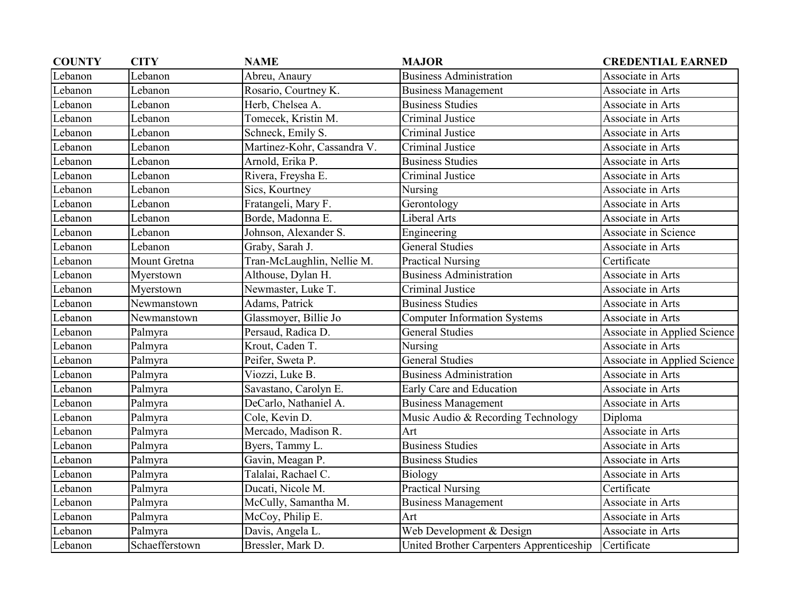| <b>COUNTY</b> | <b>CITY</b>    | <b>NAME</b>                 | <b>MAJOR</b>                             | <b>CREDENTIAL EARNED</b>     |
|---------------|----------------|-----------------------------|------------------------------------------|------------------------------|
| Lebanon       | Lebanon        | Abreu, Anaury               | <b>Business Administration</b>           | Associate in Arts            |
| Lebanon       | Lebanon        | Rosario, Courtney K.        | <b>Business Management</b>               | Associate in Arts            |
| Lebanon       | Lebanon        | Herb, Chelsea A.            | <b>Business Studies</b>                  | Associate in Arts            |
| Lebanon       | Lebanon        | Tomecek, Kristin M.         | Criminal Justice                         | Associate in Arts            |
| Lebanon       | Lebanon        | Schneck, Emily S.           | Criminal Justice                         | Associate in Arts            |
| Lebanon       | Lebanon        | Martinez-Kohr, Cassandra V. | Criminal Justice                         | Associate in Arts            |
| Lebanon       | Lebanon        | Arnold, Erika P.            | <b>Business Studies</b>                  | Associate in Arts            |
| Lebanon       | Lebanon        | Rivera, Freysha E.          | Criminal Justice                         | Associate in Arts            |
| Lebanon       | Lebanon        | Sics, Kourtney              | Nursing                                  | Associate in Arts            |
| Lebanon       | Lebanon        | Fratangeli, Mary F.         | Gerontology                              | Associate in Arts            |
| Lebanon       | Lebanon        | Borde, Madonna E.           | Liberal Arts                             | Associate in Arts            |
| Lebanon       | Lebanon        | Johnson, Alexander S.       | Engineering                              | Associate in Science         |
| Lebanon       | Lebanon        | Graby, Sarah J.             | <b>General Studies</b>                   | Associate in Arts            |
| Lebanon       | Mount Gretna   | Tran-McLaughlin, Nellie M.  | <b>Practical Nursing</b>                 | Certificate                  |
| Lebanon       | Myerstown      | Althouse, Dylan H.          | <b>Business Administration</b>           | Associate in Arts            |
| Lebanon       | Myerstown      | Newmaster, Luke T.          | <b>Criminal Justice</b>                  | Associate in Arts            |
| Lebanon       | Newmanstown    | Adams, Patrick              | <b>Business Studies</b>                  | Associate in Arts            |
| Lebanon       | Newmanstown    | Glassmoyer, Billie Jo       | <b>Computer Information Systems</b>      | Associate in Arts            |
| Lebanon       | Palmyra        | Persaud, Radica D.          | <b>General Studies</b>                   | Associate in Applied Science |
| Lebanon       | Palmyra        | Krout, Caden T.             | Nursing                                  | Associate in Arts            |
| Lebanon       | Palmyra        | Peifer, Sweta P.            | <b>General Studies</b>                   | Associate in Applied Science |
| Lebanon       | Palmyra        | Viozzi, Luke B.             | <b>Business Administration</b>           | Associate in Arts            |
| Lebanon       | Palmyra        | Savastano, Carolyn E.       | Early Care and Education                 | Associate in Arts            |
| Lebanon       | Palmyra        | DeCarlo, Nathaniel A.       | <b>Business Management</b>               | Associate in Arts            |
| Lebanon       | Palmyra        | Cole, Kevin D.              | Music Audio & Recording Technology       | Diploma                      |
| Lebanon       | Palmyra        | Mercado, Madison R.         | Art                                      | Associate in Arts            |
| Lebanon       | Palmyra        | Byers, Tammy L.             | <b>Business Studies</b>                  | Associate in Arts            |
| Lebanon       | Palmyra        | Gavin, Meagan P.            | <b>Business Studies</b>                  | Associate in Arts            |
| Lebanon       | Palmyra        | Talalai, Rachael C.         | Biology                                  | Associate in Arts            |
| Lebanon       | Palmyra        | Ducati, Nicole M.           | Practical Nursing                        | Certificate                  |
| Lebanon       | Palmyra        | McCully, Samantha M.        | <b>Business Management</b>               | Associate in Arts            |
| Lebanon       | Palmyra        | McCoy, Philip E.            | Art                                      | Associate in Arts            |
| Lebanon       | Palmyra        | Davis, Angela L.            | Web Development & Design                 | Associate in Arts            |
| Lebanon       | Schaefferstown | Bressler, Mark D.           | United Brother Carpenters Apprenticeship | Certificate                  |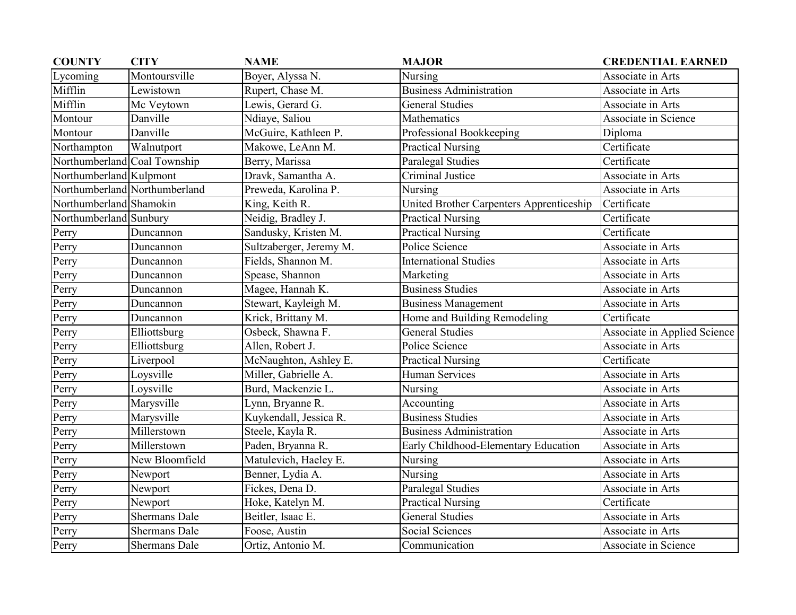| <b>COUNTY</b>                | <b>CITY</b>                   | <b>NAME</b>             | <b>MAJOR</b>                             | <b>CREDENTIAL EARNED</b>     |
|------------------------------|-------------------------------|-------------------------|------------------------------------------|------------------------------|
| Lycoming                     | Montoursville                 | Boyer, Alyssa N.        | Nursing                                  | Associate in Arts            |
| Mifflin                      | Lewistown                     | Rupert, Chase M.        | <b>Business Administration</b>           | Associate in Arts            |
| Mifflin                      | Mc Veytown                    | Lewis, Gerard G.        | <b>General Studies</b>                   | Associate in Arts            |
| Montour                      | Danville                      | Ndiaye, Saliou          | Mathematics                              | Associate in Science         |
| Montour                      | Danville                      | McGuire, Kathleen P.    | Professional Bookkeeping                 | Diploma                      |
| Northampton                  | Walnutport                    | Makowe, LeAnn M.        | <b>Practical Nursing</b>                 | Certificate                  |
| Northumberland Coal Township |                               | Berry, Marissa          | Paralegal Studies                        | Certificate                  |
| Northumberland Kulpmont      |                               | Dravk, Samantha A.      | Criminal Justice                         | Associate in Arts            |
|                              | Northumberland Northumberland | Preweda, Karolina P.    | Nursing                                  | Associate in Arts            |
| Northumberland Shamokin      |                               | King, Keith R.          | United Brother Carpenters Apprenticeship | Certificate                  |
| Northumberland Sunbury       |                               | Neidig, Bradley J.      | <b>Practical Nursing</b>                 | Certificate                  |
| Perry                        | Duncannon                     | Sandusky, Kristen M.    | <b>Practical Nursing</b>                 | Certificate                  |
| Perry                        | Duncannon                     | Sultzaberger, Jeremy M. | Police Science                           | Associate in Arts            |
| Perry                        | Duncannon                     | Fields, Shannon M.      | <b>International Studies</b>             | Associate in Arts            |
| Perry                        | Duncannon                     | Spease, Shannon         | Marketing                                | Associate in Arts            |
| Perry                        | Duncannon                     | Magee, Hannah K.        | <b>Business Studies</b>                  | Associate in Arts            |
| Perry                        | Duncannon                     | Stewart, Kayleigh M.    | <b>Business Management</b>               | Associate in Arts            |
| Perry                        | Duncannon                     | Krick, Brittany M.      | Home and Building Remodeling             | Certificate                  |
| Perry                        | Elliottsburg                  | Osbeck, Shawna F.       | <b>General Studies</b>                   | Associate in Applied Science |
| Perry                        | Elliottsburg                  | Allen, Robert J.        | Police Science                           | Associate in Arts            |
| Perry                        | Liverpool                     | McNaughton, Ashley E.   | <b>Practical Nursing</b>                 | Certificate                  |
| Perry                        | Loysville                     | Miller, Gabrielle A.    | <b>Human Services</b>                    | Associate in Arts            |
| Perry                        | Loysville                     | Burd, Mackenzie L.      | Nursing                                  | Associate in Arts            |
| Perry                        | Marysville                    | Lynn, Bryanne R.        | Accounting                               | Associate in Arts            |
| Perry                        | Marysville                    | Kuykendall, Jessica R.  | <b>Business Studies</b>                  | Associate in Arts            |
| Perry                        | Millerstown                   | Steele, Kayla R.        | <b>Business Administration</b>           | Associate in Arts            |
| Perry                        | Millerstown                   | Paden, Bryanna R.       | Early Childhood-Elementary Education     | Associate in Arts            |
| Perry                        | New Bloomfield                | Matulevich, Haeley E.   | Nursing                                  | Associate in Arts            |
| Perry                        | Newport                       | Benner, Lydia A.        | Nursing                                  | Associate in Arts            |
| Perry                        | Newport                       | Fickes, Dena D.         | Paralegal Studies                        | Associate in Arts            |
| Perry                        | Newport                       | Hoke, Katelyn M.        | <b>Practical Nursing</b>                 | Certificate                  |
| Perry                        | <b>Shermans Dale</b>          | Beitler, Isaac E.       | <b>General Studies</b>                   | Associate in Arts            |
| Perry                        | <b>Shermans Dale</b>          | Foose, Austin           | Social Sciences                          | Associate in Arts            |
| Perry                        | Shermans Dale                 | Ortiz, Antonio M.       | Communication                            | Associate in Science         |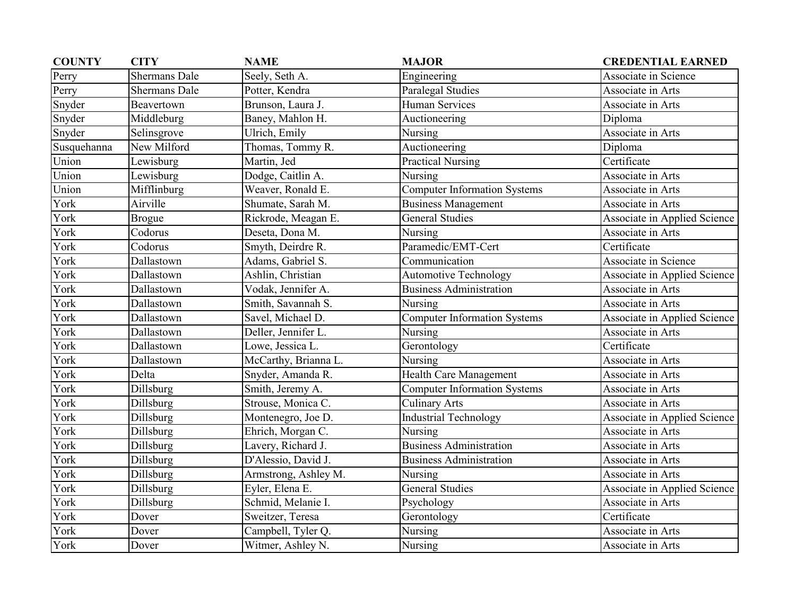| <b>COUNTY</b> | <b>CITY</b>          | <b>NAME</b>          | <b>MAJOR</b>                        | <b>CREDENTIAL EARNED</b>     |
|---------------|----------------------|----------------------|-------------------------------------|------------------------------|
| Perry         | <b>Shermans Dale</b> | Seely, Seth A.       | Engineering                         | Associate in Science         |
| Perry         | <b>Shermans Dale</b> | Potter, Kendra       | Paralegal Studies                   | Associate in Arts            |
| Snyder        | Beavertown           | Brunson, Laura J.    | <b>Human Services</b>               | Associate in Arts            |
| Snyder        | Middleburg           | Baney, Mahlon H.     | Auctioneering                       | Diploma                      |
| Snyder        | Selinsgrove          | Ulrich, Emily        | Nursing                             | Associate in Arts            |
| Susquehanna   | New Milford          | Thomas, Tommy R.     | Auctioneering                       | Diploma                      |
| Union         | Lewisburg            | Martin, Jed          | <b>Practical Nursing</b>            | Certificate                  |
| Union         | Lewisburg            | Dodge, Caitlin A.    | Nursing                             | Associate in Arts            |
| Union         | Mifflinburg          | Weaver, Ronald E.    | <b>Computer Information Systems</b> | Associate in Arts            |
| York          | Airville             | Shumate, Sarah M.    | <b>Business Management</b>          | Associate in Arts            |
| York          | <b>Brogue</b>        | Rickrode, Meagan E.  | <b>General Studies</b>              | Associate in Applied Science |
| York          | Codorus              | Deseta, Dona M.      | Nursing                             | Associate in Arts            |
| York          | Codorus              | Smyth, Deirdre R.    | Paramedic/EMT-Cert                  | Certificate                  |
| York          | Dallastown           | Adams, Gabriel S.    | Communication                       | Associate in Science         |
| York          | Dallastown           | Ashlin, Christian    | <b>Automotive Technology</b>        | Associate in Applied Science |
| York          | Dallastown           | Vodak, Jennifer A.   | <b>Business Administration</b>      | Associate in Arts            |
| York          | Dallastown           | Smith, Savannah S.   | Nursing                             | Associate in Arts            |
| York          | Dallastown           | Savel, Michael D.    | <b>Computer Information Systems</b> | Associate in Applied Science |
| York          | Dallastown           | Deller, Jennifer L.  | Nursing                             | Associate in Arts            |
| York          | Dallastown           | Lowe, Jessica L.     | Gerontology                         | Certificate                  |
| York          | Dallastown           | McCarthy, Brianna L. | Nursing                             | Associate in Arts            |
| York          | Delta                | Snyder, Amanda R.    | <b>Health Care Management</b>       | Associate in Arts            |
| York          | Dillsburg            | Smith, Jeremy A.     | <b>Computer Information Systems</b> | Associate in Arts            |
| York          | Dillsburg            | Strouse, Monica C.   | <b>Culinary Arts</b>                | Associate in Arts            |
| York          | Dillsburg            | Montenegro, Joe D.   | <b>Industrial Technology</b>        | Associate in Applied Science |
| York          | <b>Dillsburg</b>     | Ehrich, Morgan C.    | Nursing                             | Associate in Arts            |
| York          | Dillsburg            | Lavery, Richard J.   | <b>Business Administration</b>      | Associate in Arts            |
| York          | Dillsburg            | D'Alessio, David J.  | <b>Business Administration</b>      | Associate in Arts            |
| York          | Dillsburg            | Armstrong, Ashley M. | Nursing                             | Associate in Arts            |
| York          | Dillsburg            | Eyler, Elena E.      | <b>General Studies</b>              | Associate in Applied Science |
| York          | Dillsburg            | Schmid, Melanie I.   | Psychology                          | Associate in Arts            |
| York          | Dover                | Sweitzer, Teresa     | Gerontology                         | Certificate                  |
| York          | Dover                | Campbell, Tyler Q.   | Nursing                             | Associate in Arts            |
| York          | Dover                | Witmer, Ashley N.    | Nursing                             | Associate in Arts            |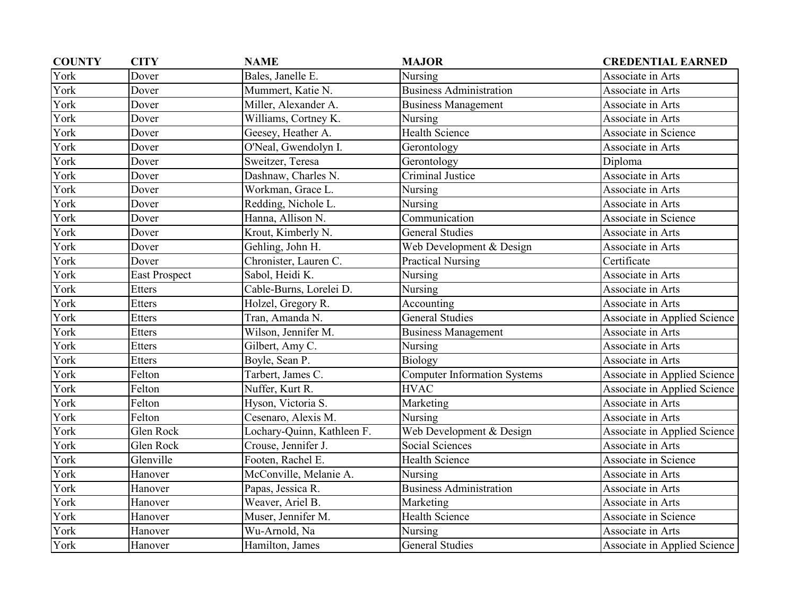| <b>COUNTY</b> | <b>CITY</b>          | <b>NAME</b>                | <b>MAJOR</b>                        | <b>CREDENTIAL EARNED</b>     |
|---------------|----------------------|----------------------------|-------------------------------------|------------------------------|
| York          | Dover                | Bales, Janelle E.          | Nursing                             | Associate in Arts            |
| York          | Dover                | Mummert, Katie N.          | <b>Business Administration</b>      | Associate in Arts            |
| York          | Dover                | Miller, Alexander A.       | <b>Business Management</b>          | Associate in Arts            |
| York          | Dover                | Williams, Cortney K.       | Nursing                             | Associate in Arts            |
| York          | Dover                | Geesey, Heather A.         | <b>Health Science</b>               | Associate in Science         |
| York          | Dover                | O'Neal, Gwendolyn I.       | Gerontology                         | Associate in Arts            |
| York          | Dover                | Sweitzer, Teresa           | Gerontology                         | Diploma                      |
| York          | Dover                | Dashnaw, Charles N.        | Criminal Justice                    | Associate in Arts            |
| York          | Dover                | Workman, Grace L.          | Nursing                             | Associate in Arts            |
| York          | Dover                | Redding, Nichole L.        | Nursing                             | Associate in Arts            |
| York          | Dover                | Hanna, Allison N.          | Communication                       | Associate in Science         |
| York          | Dover                | Krout, Kimberly N.         | <b>General Studies</b>              | Associate in Arts            |
| York          | Dover                | Gehling, John H.           | Web Development & Design            | Associate in Arts            |
| York          | Dover                | Chronister, Lauren C.      | <b>Practical Nursing</b>            | Certificate                  |
| York          | <b>East Prospect</b> | Sabol, Heidi K.            | Nursing                             | Associate in Arts            |
| York          | <b>Etters</b>        | Cable-Burns, Lorelei D.    | Nursing                             | Associate in Arts            |
| York          | <b>Etters</b>        | Holzel, Gregory R.         | Accounting                          | Associate in Arts            |
| York          | Etters               | Tran, Amanda N.            | <b>General Studies</b>              | Associate in Applied Science |
| York          | <b>Etters</b>        | Wilson, Jennifer M.        | <b>Business Management</b>          | Associate in Arts            |
| York          | Etters               | Gilbert, Amy C.            | Nursing                             | Associate in Arts            |
| York          | Etters               | Boyle, Sean P.             | Biology                             | Associate in Arts            |
| York          | Felton               | Tarbert, James C.          | <b>Computer Information Systems</b> | Associate in Applied Science |
| York          | Felton               | Nuffer, Kurt R.            | <b>HVAC</b>                         | Associate in Applied Science |
| York          | Felton               | Hyson, Victoria S.         | Marketing                           | Associate in Arts            |
| York          | Felton               | Cesenaro, Alexis M.        | Nursing                             | Associate in Arts            |
| York          | Glen Rock            | Lochary-Quinn, Kathleen F. | Web Development & Design            | Associate in Applied Science |
| York          | Glen Rock            | Crouse, Jennifer J.        | <b>Social Sciences</b>              | Associate in Arts            |
| York          | Glenville            | Footen, Rachel E.          | <b>Health Science</b>               | Associate in Science         |
| York          | Hanover              | McConville, Melanie A.     | Nursing                             | Associate in Arts            |
| York          | Hanover              | Papas, Jessica R.          | <b>Business Administration</b>      | Associate in Arts            |
| York          | Hanover              | Weaver, Ariel B.           | Marketing                           | Associate in Arts            |
| York          | Hanover              | Muser, Jennifer M.         | <b>Health Science</b>               | Associate in Science         |
| York          | Hanover              | Wu-Arnold, Na              | Nursing                             | Associate in Arts            |
| York          | Hanover              | Hamilton, James            | <b>General Studies</b>              | Associate in Applied Science |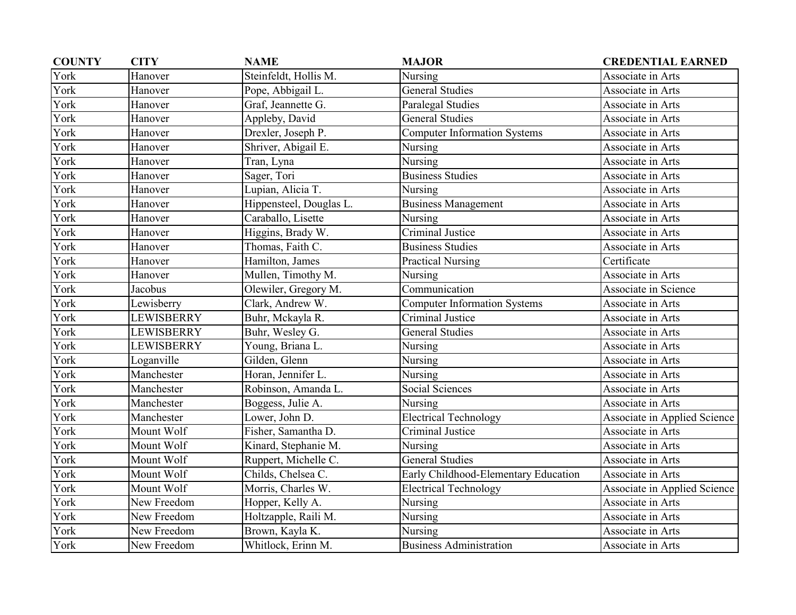| <b>COUNTY</b> | <b>CITY</b> | <b>NAME</b>             | <b>MAJOR</b>                         | <b>CREDENTIAL EARNED</b>     |
|---------------|-------------|-------------------------|--------------------------------------|------------------------------|
| York          | Hanover     | Steinfeldt, Hollis M.   | Nursing                              | Associate in Arts            |
| York          | Hanover     | Pope, Abbigail L.       | <b>General Studies</b>               | Associate in Arts            |
| York          | Hanover     | Graf, Jeannette G.      | Paralegal Studies                    | Associate in Arts            |
| York          | Hanover     | Appleby, David          | <b>General Studies</b>               | Associate in Arts            |
| York          | Hanover     | Drexler, Joseph P.      | <b>Computer Information Systems</b>  | Associate in Arts            |
| York          | Hanover     | Shriver, Abigail E.     | Nursing                              | Associate in Arts            |
| York          | Hanover     | Tran, Lyna              | Nursing                              | Associate in Arts            |
| York          | Hanover     | Sager, Tori             | <b>Business Studies</b>              | Associate in Arts            |
| York          | Hanover     | Lupian, Alicia T.       | Nursing                              | Associate in Arts            |
| York          | Hanover     | Hippensteel, Douglas L. | <b>Business Management</b>           | Associate in Arts            |
| York          | Hanover     | Caraballo, Lisette      | Nursing                              | Associate in Arts            |
| York          | Hanover     | Higgins, Brady W.       | Criminal Justice                     | Associate in Arts            |
| York          | Hanover     | Thomas, Faith C.        | <b>Business Studies</b>              | Associate in Arts            |
| York          | Hanover     | Hamilton, James         | <b>Practical Nursing</b>             | Certificate                  |
| York          | Hanover     | Mullen, Timothy M.      | Nursing                              | Associate in Arts            |
| York          | Jacobus     | Olewiler, Gregory M.    | Communication                        | Associate in Science         |
| York          | Lewisberry  | Clark, Andrew W.        | <b>Computer Information Systems</b>  | Associate in Arts            |
| York          | LEWISBERRY  | Buhr, Mckayla R.        | Criminal Justice                     | Associate in Arts            |
| York          | LEWISBERRY  | Buhr, Wesley G.         | <b>General Studies</b>               | Associate in Arts            |
| York          | LEWISBERRY  | Young, Briana L.        | Nursing                              | Associate in Arts            |
| York          | Loganville  | Gilden, Glenn           | Nursing                              | Associate in Arts            |
| York          | Manchester  | Horan, Jennifer L.      | Nursing                              | Associate in Arts            |
| York          | Manchester  | Robinson, Amanda L.     | <b>Social Sciences</b>               | Associate in Arts            |
| York          | Manchester  | Boggess, Julie A.       | Nursing                              | Associate in Arts            |
| York          | Manchester  | Lower, John D.          | <b>Electrical Technology</b>         | Associate in Applied Science |
| York          | Mount Wolf  | Fisher, Samantha D.     | Criminal Justice                     | Associate in Arts            |
| York          | Mount Wolf  | Kinard, Stephanie M.    | Nursing                              | Associate in Arts            |
| York          | Mount Wolf  | Ruppert, Michelle C.    | <b>General Studies</b>               | Associate in Arts            |
| York          | Mount Wolf  | Childs, Chelsea C.      | Early Childhood-Elementary Education | Associate in Arts            |
| York          | Mount Wolf  | Morris, Charles W.      | <b>Electrical Technology</b>         | Associate in Applied Science |
| York          | New Freedom | Hopper, Kelly A.        | Nursing                              | Associate in Arts            |
| York          | New Freedom | Holtzapple, Raili M.    | Nursing                              | Associate in Arts            |
| York          | New Freedom | Brown, Kayla K.         | Nursing                              | Associate in Arts            |
| York          | New Freedom | Whitlock, Erinn M.      | <b>Business Administration</b>       | Associate in Arts            |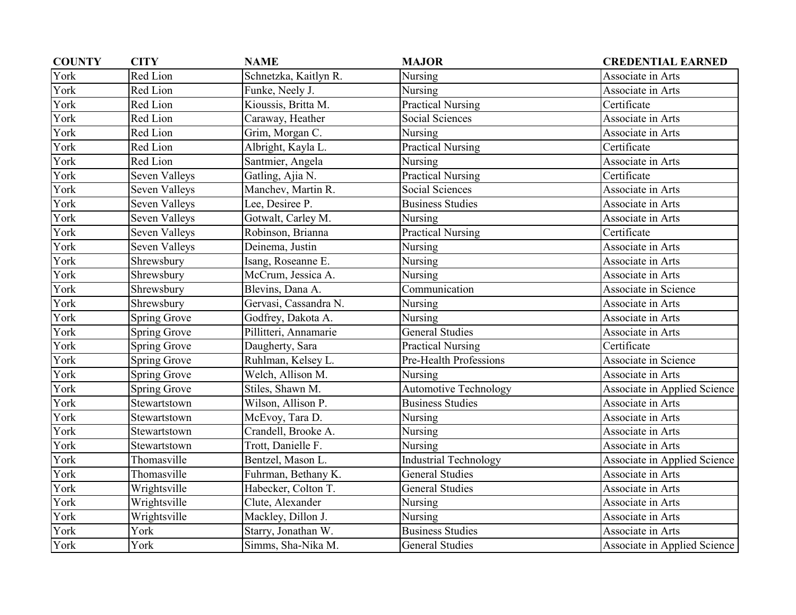| <b>COUNTY</b> | <b>CITY</b>         | <b>NAME</b>           | <b>MAJOR</b>                 | <b>CREDENTIAL EARNED</b>     |
|---------------|---------------------|-----------------------|------------------------------|------------------------------|
| York          | Red Lion            | Schnetzka, Kaitlyn R. | Nursing                      | Associate in Arts            |
| York          | Red Lion            | Funke, Neely J.       | Nursing                      | Associate in Arts            |
| York          | Red Lion            | Kioussis, Britta M.   | <b>Practical Nursing</b>     | Certificate                  |
| York          | Red Lion            | Caraway, Heather      | Social Sciences              | Associate in Arts            |
| York          | Red Lion            | Grim, Morgan C.       | Nursing                      | Associate in Arts            |
| York          | Red Lion            | Albright, Kayla L.    | <b>Practical Nursing</b>     | Certificate                  |
| York          | Red Lion            | Santmier, Angela      | Nursing                      | Associate in Arts            |
| York          | Seven Valleys       | Gatling, Ajia N.      | <b>Practical Nursing</b>     | Certificate                  |
| York          | Seven Valleys       | Manchev, Martin R.    | <b>Social Sciences</b>       | Associate in Arts            |
| York          | Seven Valleys       | Lee, Desiree P.       | <b>Business Studies</b>      | Associate in Arts            |
| York          | Seven Valleys       | Gotwalt, Carley M.    | Nursing                      | Associate in Arts            |
| York          | Seven Valleys       | Robinson, Brianna     | <b>Practical Nursing</b>     | Certificate                  |
| York          | Seven Valleys       | Deinema, Justin       | Nursing                      | Associate in Arts            |
| York          | Shrewsbury          | Isang, Roseanne E.    | Nursing                      | Associate in Arts            |
| York          | Shrewsbury          | McCrum, Jessica A.    | Nursing                      | Associate in Arts            |
| York          | Shrewsbury          | Blevins, Dana A.      | Communication                | Associate in Science         |
| York          | Shrewsbury          | Gervasi, Cassandra N. | Nursing                      | Associate in Arts            |
| York          | <b>Spring Grove</b> | Godfrey, Dakota A.    | Nursing                      | Associate in Arts            |
| York          | <b>Spring Grove</b> | Pillitteri, Annamarie | <b>General Studies</b>       | Associate in Arts            |
| York          | Spring Grove        | Daugherty, Sara       | <b>Practical Nursing</b>     | Certificate                  |
| York          | Spring Grove        | Ruhlman, Kelsey L.    | Pre-Health Professions       | Associate in Science         |
| York          | <b>Spring Grove</b> | Welch, Allison M.     | Nursing                      | Associate in Arts            |
| York          | <b>Spring Grove</b> | Stiles, Shawn M.      | <b>Automotive Technology</b> | Associate in Applied Science |
| York          | Stewartstown        | Wilson, Allison P.    | <b>Business Studies</b>      | Associate in Arts            |
| York          | Stewartstown        | McEvoy, Tara D.       | Nursing                      | Associate in Arts            |
| York          | Stewartstown        | Crandell, Brooke A.   | Nursing                      | Associate in Arts            |
| York          | Stewartstown        | Trott, Danielle F.    | Nursing                      | Associate in Arts            |
| York          | Thomasville         | Bentzel, Mason L.     | <b>Industrial Technology</b> | Associate in Applied Science |
| York          | Thomasville         | Fuhrman, Bethany K.   | <b>General Studies</b>       | Associate in Arts            |
| York          | Wrightsville        | Habecker, Colton T.   | <b>General Studies</b>       | Associate in Arts            |
| York          | Wrightsville        | Clute, Alexander      | Nursing                      | Associate in Arts            |
| York          | Wrightsville        | Mackley, Dillon J.    | Nursing                      | Associate in Arts            |
| York          | York                | Starry, Jonathan W.   | <b>Business Studies</b>      | Associate in Arts            |
| York          | York                | Simms, Sha-Nika M.    | <b>General Studies</b>       | Associate in Applied Science |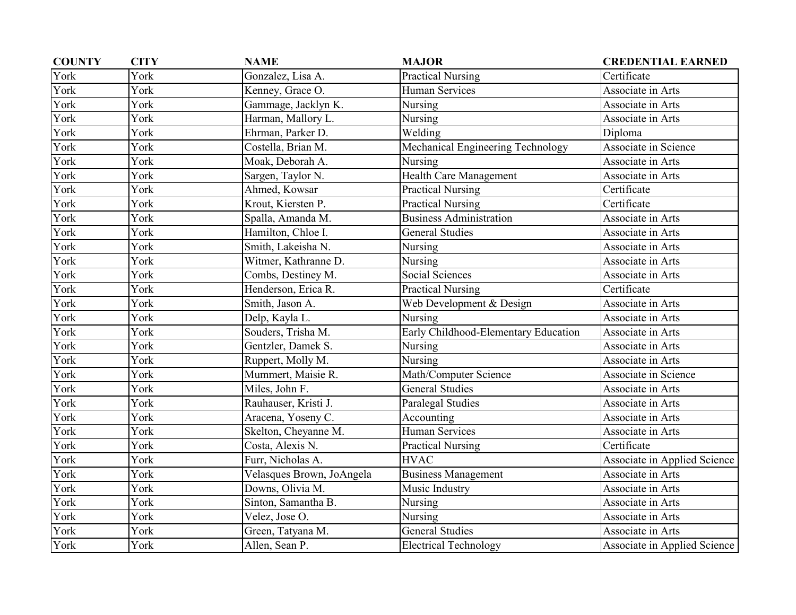| <b>COUNTY</b> | <b>CITY</b> | <b>NAME</b>               | <b>MAJOR</b>                         | <b>CREDENTIAL EARNED</b>     |
|---------------|-------------|---------------------------|--------------------------------------|------------------------------|
| York          | York        | Gonzalez, Lisa A.         | <b>Practical Nursing</b>             | Certificate                  |
| York          | York        | Kenney, Grace O.          | Human Services                       | Associate in Arts            |
| York          | York        | Gammage, Jacklyn K.       | Nursing                              | Associate in Arts            |
| York          | York        | Harman, Mallory L.        | Nursing                              | Associate in Arts            |
| York          | York        | Ehrman, Parker D.         | Welding                              | Diploma                      |
| York          | York        | Costella, Brian M.        | Mechanical Engineering Technology    | Associate in Science         |
| York          | York        | Moak, Deborah A.          | Nursing                              | Associate in Arts            |
| York          | York        | Sargen, Taylor N.         | Health Care Management               | Associate in Arts            |
| York          | York        | Ahmed, Kowsar             | <b>Practical Nursing</b>             | Certificate                  |
| York          | York        | Krout, Kiersten P.        | <b>Practical Nursing</b>             | Certificate                  |
| York          | York        | Spalla, Amanda M.         | <b>Business Administration</b>       | Associate in Arts            |
| York          | York        | Hamilton, Chloe I.        | <b>General Studies</b>               | Associate in Arts            |
| York          | York        | Smith, Lakeisha N.        | Nursing                              | Associate in Arts            |
| York          | York        | Witmer, Kathranne D.      | Nursing                              | Associate in Arts            |
| York          | York        | Combs, Destiney M.        | <b>Social Sciences</b>               | Associate in Arts            |
| York          | York        | Henderson, Erica R.       | <b>Practical Nursing</b>             | Certificate                  |
| York          | York        | Smith, Jason A.           | Web Development & Design             | Associate in Arts            |
| York          | York        | Delp, Kayla L.            | Nursing                              | Associate in Arts            |
| York          | York        | Souders, Trisha M.        | Early Childhood-Elementary Education | Associate in Arts            |
| York          | York        | Gentzler, Damek S.        | Nursing                              | Associate in Arts            |
| York          | York        | Ruppert, Molly M.         | Nursing                              | Associate in Arts            |
| York          | York        | Mummert, Maisie R.        | Math/Computer Science                | Associate in Science         |
| York          | York        | Miles, John F.            | <b>General Studies</b>               | Associate in Arts            |
| York          | York        | Rauhauser, Kristi J.      | Paralegal Studies                    | Associate in Arts            |
| York          | York        | Aracena, Yoseny C.        | Accounting                           | Associate in Arts            |
| York          | York        | Skelton, Cheyanne M.      | <b>Human Services</b>                | Associate in Arts            |
| York          | York        | Costa, Alexis N.          | <b>Practical Nursing</b>             | Certificate                  |
| York          | York        | Furr, Nicholas A.         | <b>HVAC</b>                          | Associate in Applied Science |
| York          | York        | Velasques Brown, JoAngela | <b>Business Management</b>           | Associate in Arts            |
| York          | York        | Downs, Olivia M.          | Music Industry                       | Associate in Arts            |
| York          | York        | Sinton, Samantha B.       | Nursing                              | Associate in Arts            |
| York          | York        | Velez, Jose O.            | Nursing                              | Associate in Arts            |
| York          | York        | Green, Tatyana M.         | <b>General Studies</b>               | Associate in Arts            |
| York          | York        | Allen, Sean P.            | <b>Electrical Technology</b>         | Associate in Applied Science |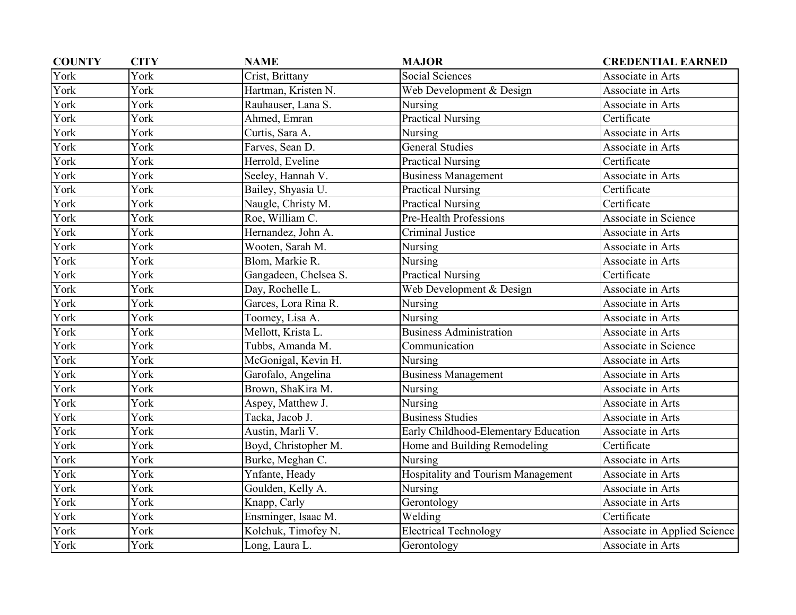| <b>COUNTY</b> | <b>CITY</b> | <b>NAME</b>           | <b>MAJOR</b>                         | <b>CREDENTIAL EARNED</b>     |
|---------------|-------------|-----------------------|--------------------------------------|------------------------------|
| York          | York        | Crist, Brittany       | Social Sciences                      | Associate in Arts            |
| York          | York        | Hartman, Kristen N.   | Web Development & Design             | Associate in Arts            |
| York          | York        | Rauhauser, Lana S.    | Nursing                              | Associate in Arts            |
| York          | York        | Ahmed, Emran          | <b>Practical Nursing</b>             | Certificate                  |
| York          | York        | Curtis, Sara A.       | Nursing                              | Associate in Arts            |
| York          | York        | Farves, Sean D.       | <b>General Studies</b>               | Associate in Arts            |
| York          | York        | Herrold, Eveline      | <b>Practical Nursing</b>             | Certificate                  |
| York          | York        | Seeley, Hannah V.     | <b>Business Management</b>           | Associate in Arts            |
| York          | York        | Bailey, Shyasia U.    | <b>Practical Nursing</b>             | Certificate                  |
| York          | York        | Naugle, Christy M.    | <b>Practical Nursing</b>             | Certificate                  |
| York          | York        | Roe, William C.       | Pre-Health Professions               | Associate in Science         |
| York          | York        | Hernandez, John A.    | Criminal Justice                     | Associate in Arts            |
| York          | York        | Wooten, Sarah M.      | Nursing                              | Associate in Arts            |
| York          | York        | Blom, Markie R.       | Nursing                              | Associate in Arts            |
| York          | York        | Gangadeen, Chelsea S. | <b>Practical Nursing</b>             | Certificate                  |
| York          | York        | Day, Rochelle L.      | Web Development & Design             | Associate in Arts            |
| York          | York        | Garces, Lora Rina R.  | Nursing                              | Associate in Arts            |
| York          | York        | Toomey, Lisa A.       | Nursing                              | Associate in Arts            |
| York          | York        | Mellott, Krista L.    | <b>Business Administration</b>       | Associate in Arts            |
| York          | York        | Tubbs, Amanda M.      | Communication                        | Associate in Science         |
| York          | York        | McGonigal, Kevin H.   | Nursing                              | Associate in Arts            |
| York          | York        | Garofalo, Angelina    | <b>Business Management</b>           | Associate in Arts            |
| York          | York        | Brown, ShaKira M.     | Nursing                              | Associate in Arts            |
| York          | York        | Aspey, Matthew J.     | Nursing                              | Associate in Arts            |
| York          | York        | Tacka, Jacob J.       | <b>Business Studies</b>              | Associate in Arts            |
| York          | York        | Austin, Marli V.      | Early Childhood-Elementary Education | Associate in Arts            |
| York          | York        | Boyd, Christopher M.  | Home and Building Remodeling         | Certificate                  |
| York          | York        | Burke, Meghan C.      | Nursing                              | Associate in Arts            |
| York          | York        | Ynfante, Heady        | Hospitality and Tourism Management   | Associate in Arts            |
| York          | <b>York</b> | Goulden, Kelly A.     | Nursing                              | Associate in Arts            |
| York          | York        | Knapp, Carly          | Gerontology                          | Associate in Arts            |
| York          | York        | Ensminger, Isaac M.   | Welding                              | Certificate                  |
| York          | York        | Kolchuk, Timofey N.   | <b>Electrical Technology</b>         | Associate in Applied Science |
| York          | York        | Long, Laura L.        | Gerontology                          | Associate in Arts            |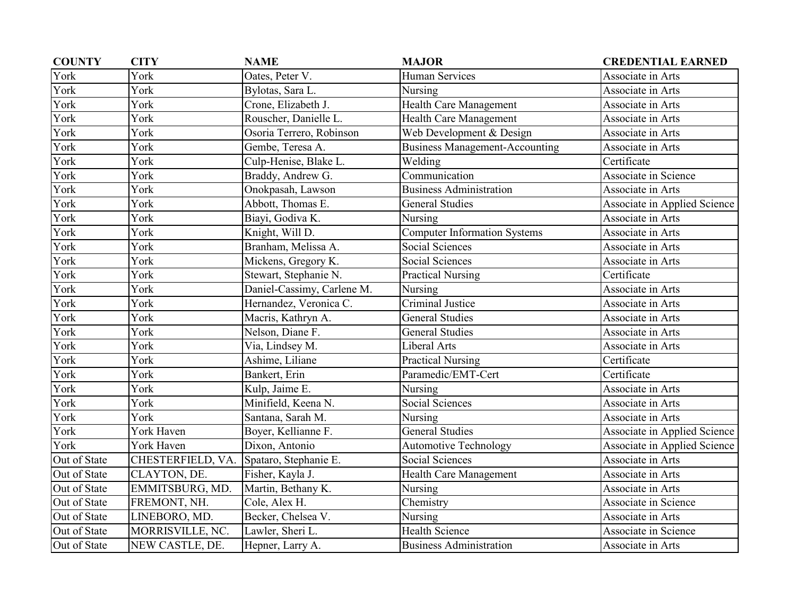| <b>COUNTY</b> | <b>CITY</b>       | <b>NAME</b>                | <b>MAJOR</b>                          | <b>CREDENTIAL EARNED</b>     |
|---------------|-------------------|----------------------------|---------------------------------------|------------------------------|
| York          | York              | Oates, Peter V.            | <b>Human Services</b>                 | Associate in Arts            |
| York          | York              | Bylotas, Sara L.           | Nursing                               | Associate in Arts            |
| York          | York              | Crone, Elizabeth J.        | Health Care Management                | Associate in Arts            |
| York          | York              | Rouscher, Danielle L.      | <b>Health Care Management</b>         | Associate in Arts            |
| York          | York              | Osoria Terrero, Robinson   | Web Development & Design              | Associate in Arts            |
| York          | York              | Gembe, Teresa A.           | <b>Business Management-Accounting</b> | Associate in Arts            |
| York          | York              | Culp-Henise, Blake L.      | Welding                               | Certificate                  |
| York          | York              | Braddy, Andrew G.          | Communication                         | Associate in Science         |
| York          | York              | Onokpasah, Lawson          | <b>Business Administration</b>        | Associate in Arts            |
| York          | York              | Abbott, Thomas E.          | <b>General Studies</b>                | Associate in Applied Science |
| York          | York              | Biayi, Godiva K.           | Nursing                               | Associate in Arts            |
| York          | York              | Knight, Will D.            | Computer Information Systems          | Associate in Arts            |
| York          | York              | Branham, Melissa A.        | <b>Social Sciences</b>                | Associate in Arts            |
| York          | York              | Mickens, Gregory K.        | Social Sciences                       | Associate in Arts            |
| York          | York              | Stewart, Stephanie N.      | <b>Practical Nursing</b>              | Certificate                  |
| York          | York              | Daniel-Cassimy, Carlene M. | Nursing                               | Associate in Arts            |
| York          | York              | Hernandez, Veronica C.     | Criminal Justice                      | Associate in Arts            |
| York          | York              | Macris, Kathryn A.         | <b>General Studies</b>                | Associate in Arts            |
| York          | York              | Nelson, Diane F.           | <b>General Studies</b>                | Associate in Arts            |
| York          | York              | Via, Lindsey M.            | Liberal Arts                          | Associate in Arts            |
| York          | York              | Ashime, Liliane            | <b>Practical Nursing</b>              | Certificate                  |
| York          | York              | Bankert, Erin              | Paramedic/EMT-Cert                    | Certificate                  |
| York          | York              | Kulp, Jaime E.             | Nursing                               | Associate in Arts            |
| York          | York              | Minifield, Keena N.        | <b>Social Sciences</b>                | Associate in Arts            |
| York          | York              | Santana, Sarah M.          | Nursing                               | Associate in Arts            |
| York          | York Haven        | Boyer, Kellianne F.        | <b>General Studies</b>                | Associate in Applied Science |
| York          | York Haven        | Dixon, Antonio             | <b>Automotive Technology</b>          | Associate in Applied Science |
| Out of State  | CHESTERFIELD, VA. | Spataro, Stephanie E.      | <b>Social Sciences</b>                | Associate in Arts            |
| Out of State  | CLAYTON, DE.      | Fisher, Kayla J.           | Health Care Management                | Associate in Arts            |
| Out of State  | EMMITSBURG, MD.   | Martin, Bethany K.         | Nursing                               | Associate in Arts            |
| Out of State  | FREMONT, NH.      | Cole, Alex H.              | Chemistry                             | Associate in Science         |
| Out of State  | LINEBORO, MD.     | Becker, Chelsea V.         | Nursing                               | Associate in Arts            |
| Out of State  | MORRISVILLE, NC.  | Lawler, Sheri L.           | <b>Health Science</b>                 | Associate in Science         |
| Out of State  | NEW CASTLE, DE.   | Hepner, Larry A.           | <b>Business Administration</b>        | Associate in Arts            |